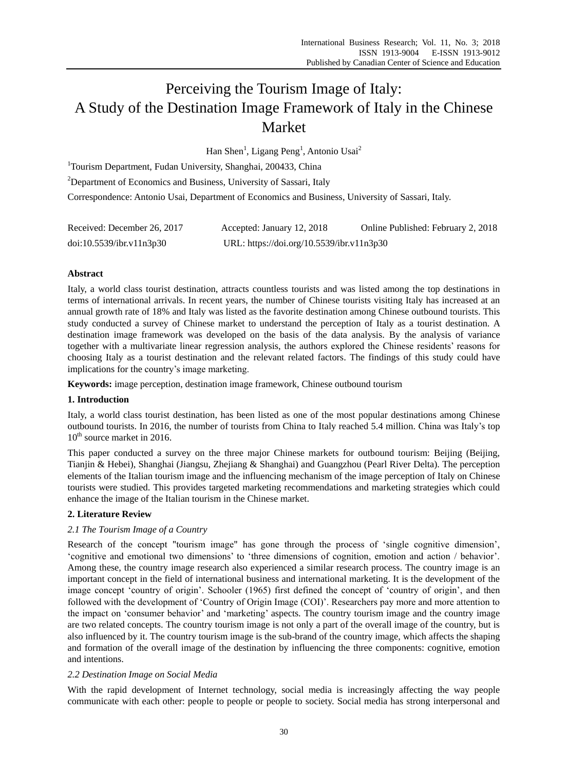# Perceiving the Tourism Image of Italy: A Study of the Destination Image Framework of Italy in the Chinese Market

Han Shen<sup>1</sup>, Ligang Peng<sup>1</sup>, Antonio Usai<sup>2</sup>

<sup>1</sup>Tourism Department, Fudan University, Shanghai, 200433, China

<sup>2</sup>Department of Economics and Business, University of Sassari, Italy

Correspondence: Antonio Usai, Department of Economics and Business, University of Sassari, Italy.

| Received: December 26, 2017 | Accepted: January 12, 2018                | Online Published: February 2, 2018 |
|-----------------------------|-------------------------------------------|------------------------------------|
| doi:10.5539/ibr.v11n3p30    | URL: https://doi.org/10.5539/ibr.v11n3p30 |                                    |

# **Abstract**

Italy, a world class tourist destination, attracts countless tourists and was listed among the top destinations in terms of international arrivals. In recent years, the number of Chinese tourists visiting Italy has increased at an annual growth rate of 18% and Italy was listed as the favorite destination among Chinese outbound tourists. This study conducted a survey of Chinese market to understand the perception of Italy as a tourist destination. A destination image framework was developed on the basis of the data analysis. By the analysis of variance together with a multivariate linear regression analysis, the authors explored the Chinese residents' reasons for choosing Italy as a tourist destination and the relevant related factors. The findings of this study could have implications for the country's image marketing.

**Keywords:** image perception, destination image framework, Chinese outbound tourism

### **1. Introduction**

Italy, a world class tourist destination, has been listed as one of the most popular destinations among Chinese outbound tourists. In 2016, the number of tourists from China to Italy reached 5.4 million. China was Italy's top  $10^{th}$  source market in 2016.

This paper conducted a survey on the three major Chinese markets for outbound tourism: Beijing (Beijing, Tianjin & Hebei), Shanghai (Jiangsu, Zhejiang & Shanghai) and Guangzhou (Pearl River Delta). The perception elements of the Italian tourism image and the influencing mechanism of the image perception of Italy on Chinese tourists were studied. This provides targeted marketing recommendations and marketing strategies which could enhance the image of the Italian tourism in the Chinese market.

# **2. Literature Review**

# *2.1 The Tourism Image of a Country*

Research of the concept "tourism image" has gone through the process of 'single cognitive dimension', 'cognitive and emotional two dimensions' to 'three dimensions of cognition, emotion and action / behavior'. Among these, the country image research also experienced a similar research process. The country image is an important concept in the field of international business and international marketing. It is the development of the image concept 'country of origin'. Schooler (1965) first defined the concept of 'country of origin', and then followed with the development of 'Country of Origin Image (COI)'. Researchers pay more and more attention to the impact on 'consumer behavior' and 'marketing' aspects. The country tourism image and the country image are two related concepts. The country tourism image is not only a part of the overall image of the country, but is also influenced by it. The country tourism image is the sub-brand of the country image, which affects the shaping and formation of the overall image of the destination by influencing the three components: cognitive, emotion and intentions.

### *2.2 Destination Image on Social Media*

With the rapid development of Internet technology, social media is increasingly affecting the way people communicate with each other: people to people or people to society. Social media has strong interpersonal and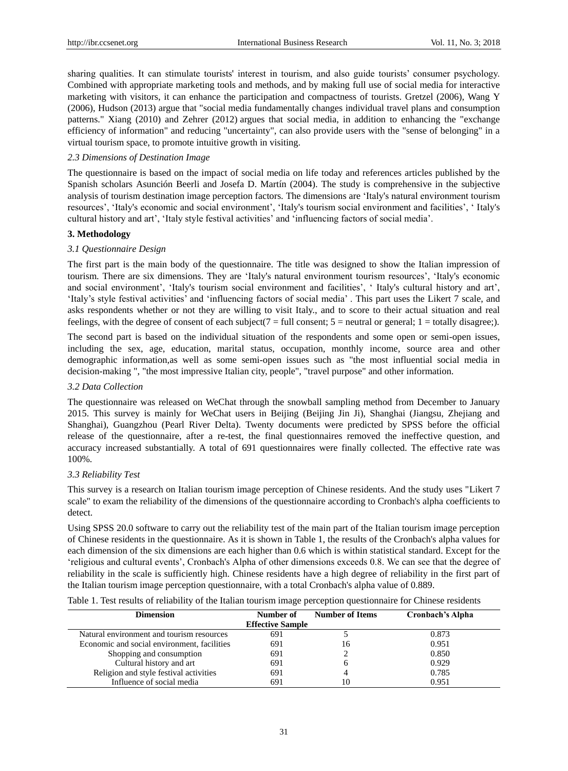sharing qualities. It can stimulate tourists' interest in tourism, and also guide tourists' consumer psychology. Combined with appropriate marketing tools and methods, and by making full use of social media for interactive marketing with visitors, it can enhance the participation and compactness of tourists. Gretzel (2006), Wang Y (2006), Hudson (2013) argue that "social media fundamentally changes individual travel plans and consumption patterns." Xiang (2010) and Zehrer (2012) argues that social media, in addition to enhancing the "exchange efficiency of information" and reducing "uncertainty", can also provide users with the "sense of belonging" in a virtual tourism space, to promote intuitive growth in visiting.

### *2.3 Dimensions of Destination Image*

The questionnaire is based on the impact of social media on life today and references articles published by the Spanish scholars Asunción Beerli and Josefa D. Mart *n* (2004). The study is comprehensive in the subjective analysis of tourism destination image perception factors. The dimensions are 'Italy's natural environment tourism resources', 'Italy's economic and social environment', 'Italy's tourism social environment and facilities', ' Italy's cultural history and art', 'Italy style festival activities' and 'influencing factors of social media'.

### **3. Methodology**

#### *3.1 Questionnaire Design*

The first part is the main body of the questionnaire. The title was designed to show the Italian impression of tourism. There are six dimensions. They are 'Italy's natural environment tourism resources', 'Italy's economic and social environment', 'Italy's tourism social environment and facilities', ' Italy's cultural history and art', 'Italy's style festival activities' and 'influencing factors of social media' . This part uses the Likert 7 scale, and asks respondents whether or not they are willing to visit Italy., and to score to their actual situation and real feelings, with the degree of consent of each subject( $7 = \text{full consent}$ ;  $5 = \text{neutral or general}$ ;  $1 = \text{totally disagree}$ ;).

The second part is based on the individual situation of the respondents and some open or semi-open issues, including the sex, age, education, marital status, occupation, monthly income, source area and other demographic information,as well as some semi-open issues such as "the most influential social media in decision-making ", "the most impressive Italian city, people", "travel purpose" and other information.

#### *3.2 Data Collection*

The questionnaire was released on WeChat through the snowball sampling method from December to January 2015. This survey is mainly for WeChat users in Beijing (Beijing Jin Ji), Shanghai (Jiangsu, Zhejiang and Shanghai), Guangzhou (Pearl River Delta). Twenty documents were predicted by SPSS before the official release of the questionnaire, after a re-test, the final questionnaires removed the ineffective question, and accuracy increased substantially. A total of 691 questionnaires were finally collected. The effective rate was 100%.

#### *3.3 Reliability Test*

This survey is a research on Italian tourism image perception of Chinese residents. And the study uses "Likert 7 scale" to exam the reliability of the dimensions of the questionnaire according to Cronbach's alpha coefficients to detect.

Using SPSS 20.0 software to carry out the reliability test of the main part of the Italian tourism image perception of Chinese residents in the questionnaire. As it is shown in Table 1, the results of the Cronbach's alpha values for each dimension of the six dimensions are each higher than 0.6 which is within statistical standard. Except for the 'religious and cultural events', Cronbach's Alpha of other dimensions exceeds 0.8. We can see that the degree of reliability in the scale is sufficiently high. Chinese residents have a high degree of reliability in the first part of the Italian tourism image perception questionnaire, with a total Cronbach's alpha value of 0.889.

| <b>Dimension</b>                            | Number of<br><b>Effective Sample</b> | <b>Number of Items</b> | Cronbach's Alpha |
|---------------------------------------------|--------------------------------------|------------------------|------------------|
| Natural environment and tourism resources   | 691                                  |                        | 0.873            |
| Economic and social environment, facilities | 691                                  | 16                     | 0.951            |
| Shopping and consumption                    | 691                                  |                        | 0.850            |
| Cultural history and art                    | 691                                  | h                      | 0.929            |
| Religion and style festival activities      | 691                                  |                        | 0.785            |
| Influence of social media                   | 691                                  | 10                     | 0.951            |

Table 1. Test results of reliability of the Italian tourism image perception questionnaire for Chinese residents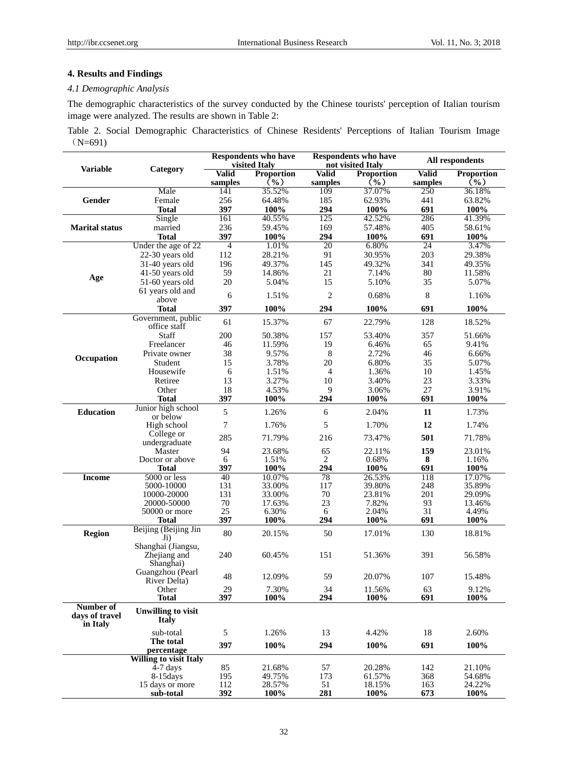# **4. Results and Findings**

# *4.1 Demographic Analysis*

The demographic characteristics of the survey conducted by the Chinese tourists' perception of Italian tourism image were analyzed. The results are shown in Table 2:

Table 2. Social Demographic Characteristics of Chinese Residents' Perceptions of Italian Tourism Image (N=691)

|                            |                                           | <b>Respondents who have</b> |                   |                | <b>Respondents who have</b> | All respondents |                   |
|----------------------------|-------------------------------------------|-----------------------------|-------------------|----------------|-----------------------------|-----------------|-------------------|
| <b>Variable</b>            | Category                                  |                             | visited Italy     |                | not visited Italy           |                 |                   |
|                            |                                           | <b>Valid</b>                | <b>Proportion</b> | <b>Valid</b>   | <b>Proportion</b>           | <b>Valid</b>    | <b>Proportion</b> |
|                            |                                           | samples                     | $(\% )$           | samples        | $(\%)$                      | samples         | $($ %)            |
|                            | Male                                      | 141                         | 35.52%            | 109            | 37.07%                      | 250             | 36.18%            |
| Gender                     | Female                                    | 256                         | 64.48%            | 185            | 62.93%                      | 441             | 63.82%            |
|                            | <b>Total</b>                              | 397                         | 100%              | 294            | 100%                        | 691             | 100%              |
|                            | Single                                    | 161                         | 40.55%            | 125            | 42.52%                      | 286             | 41.39%            |
| <b>Marital status</b>      | married                                   | 236                         | 59.45%            | 169            | 57.48%                      | 405             | 58.61%            |
|                            | <b>Total</b>                              | 397                         | 100%              | 294            | 100%                        | 691             | 100%              |
|                            | Under the age of 22                       | $\overline{4}$              | 1.01%             | 20             | 6.80%                       | $\overline{24}$ | 3.47%             |
|                            | 22-30 years old                           | 112                         | 28.21%            | 91             | 30.95%                      | 203             | 29.38%            |
|                            | 31-40 years old                           | 196                         | 49.37%            | 145            | 49.32%                      | 341             | 49.35%            |
| Age                        | 41-50 years old                           | 59                          | 14.86%            | 21             | 7.14%                       | 80              | 11.58%            |
|                            | 51-60 years old                           | 20                          | 5.04%             | 15             | 5.10%                       | 35              | 5.07%             |
|                            | 61 years old and<br>above                 | 6                           | 1.51%             | $\overline{2}$ | 0.68%                       | 8               | 1.16%             |
|                            | <b>Total</b>                              | 397                         | 100%              | 294            | 100%                        | 691             | 100%              |
|                            | Government, public<br>office staff        | 61                          | 15.37%            | 67             | 22.79%                      | 128             | 18.52%            |
|                            | Staff                                     | 200                         | 50.38%            | 157            | 53.40%                      | 357             | 51.66%            |
|                            | Freelancer                                | 46                          | 11.59%            | 19             | 6.46%                       | 65              | 9.41%             |
|                            | Private owner                             | 38                          | 9.57%             | 8              | 2.72%                       | 46              | 6.66%             |
| Occupation                 | Student                                   | 15                          | 3.78%             | 20             | 6.80%                       | 35              | 5.07%             |
|                            | Housewife                                 | 6                           | 1.51%             | 4              | 1.36%                       | 10              | 1.45%             |
|                            | Retiree                                   | 13                          | 3.27%             | 10             | 3.40%                       | 23              | 3.33%             |
|                            | Other                                     | 18                          | 4.53%             | 9              | 3.06%                       | 27              | 3.91%             |
|                            | <b>Total</b>                              | 397                         | 100%              | 294            | 100%                        | 691             | 100%              |
| <b>Education</b>           | Junior high school<br>or below            | 5                           | 1.26%             | 6              | 2.04%                       | 11              | 1.73%             |
|                            | High school                               | 7                           | 1.76%             | 5              | 1.70%                       | 12              | 1.74%             |
|                            | College or<br>undergraduate               | 285                         | 71.79%            | 216            | 73.47%                      | 501             | 71.78%            |
|                            | Master                                    | 94                          | 23.68%            | 65             | 22.11%                      | 159             | 23.01%            |
|                            | Doctor or above                           | 6                           | 1.51%             | 2              | 0.68%                       | 8               | 1.16%             |
|                            | <b>Total</b>                              | 397                         | 100%              | 294            | 100%                        | 691             | 100%              |
| <b>Income</b>              | $5000$ or less                            | 40                          | 10.07%            | 78             | 26.53%                      | 118             | 17.07%            |
|                            | 5000-10000                                | 131                         | 33.00%            | 117            | 39.80%                      | 248             | 35.89%            |
|                            | 10000-20000                               | 131                         | 33.00%            | 70             | 23.81%                      | 201             | 29.09%            |
|                            | 20000-50000                               | 70                          | 17.63%            | 23             | 7.82%                       | 93              | 13.46%            |
|                            | 50000 or more                             | 25                          | 6.30%             | 6              | 2.04%                       | 31              | 4.49%             |
|                            | Total                                     | 397                         | 100%              | 294            | 100%                        | 691             | 100%              |
| <b>Region</b>              | Beijing (Beijing Jin<br>$J_i$ )           | 80                          | 20.15%            | 50             | 17.01%                      | 130             | 18.81%            |
|                            | Shanghai (Jiangsu,                        |                             |                   |                |                             |                 |                   |
|                            | Zhejiang and                              | 240                         | 60.45%            | 151            | 51.36%                      | 391             | 56.58%            |
|                            | Shanghai)                                 |                             |                   |                |                             |                 |                   |
|                            | Guangzhou (Pearl                          | 48                          | 12.09%            | 59             | 20.07%                      | 107             | 15.48%            |
|                            | River Delta)                              |                             |                   |                |                             |                 |                   |
|                            | Other<br><b>Total</b>                     | 29<br>397                   | 7.30%<br>100%     | 34<br>294      | 11.56%<br>100%              | 63<br>691       | 9.12%<br>100%     |
| Number of                  |                                           |                             |                   |                |                             |                 |                   |
| days of travel<br>in Italy | <b>Unwilling to visit</b><br><b>Italy</b> |                             |                   |                |                             |                 |                   |
|                            | sub-total                                 | 5                           | 1.26%             | 13             | 4.42%                       | 18              | 2.60%             |
|                            | The total                                 | 397                         | 100%              | 294            | 100%                        | 691             | 100%              |
|                            | percentage                                |                             |                   |                |                             |                 |                   |
|                            | <b>Willing to visit Italy</b>             |                             |                   |                |                             |                 |                   |
|                            | 4-7 days                                  | 85                          | 21.68%            | 57             | 20.28%                      | 142             | 21.10%            |
|                            | $8-15$ days                               | 195                         | 49.75%            | 173            | 61.57%                      | 368             | 54.68%            |
|                            | 15 days or more                           | 112                         | 28.57%            | 51             | 18.15%                      | 163             | 24.22%            |
|                            | sub-total                                 | 392                         | 100%              | 281            | 100%                        | 673             | 100%              |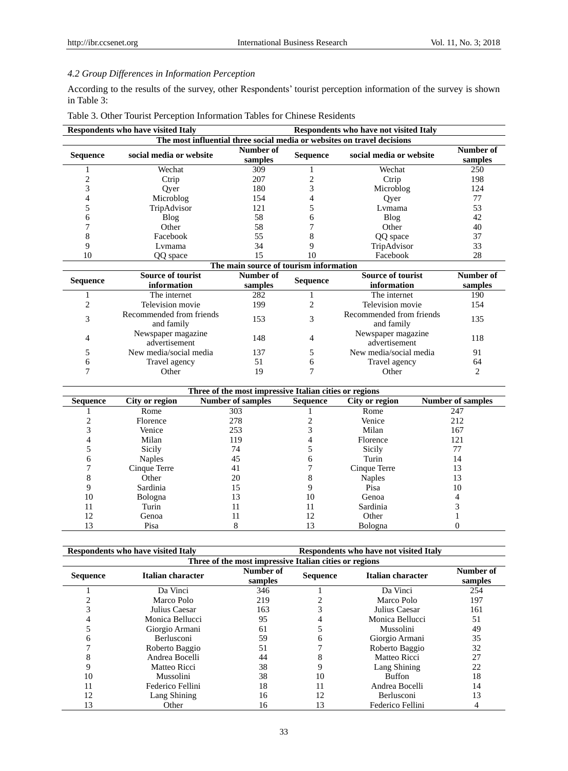# *4.2 Group Differences in Information Perception*

According to the results of the survey, other Respondents' tourist perception information of the survey is shown in Table 3:

| <b>Respondents who have visited Italy</b><br><b>Respondents who have not visited Italy</b> |                                         |                      |                 |                                         |                      |  |  |  |  |  |
|--------------------------------------------------------------------------------------------|-----------------------------------------|----------------------|-----------------|-----------------------------------------|----------------------|--|--|--|--|--|
| The most influential three social media or websites on travel decisions                    |                                         |                      |                 |                                         |                      |  |  |  |  |  |
| <b>Sequence</b>                                                                            | social media or website                 | Number of<br>samples | <b>Sequence</b> | social media or website                 | Number of<br>samples |  |  |  |  |  |
|                                                                                            | Wechat                                  | 309                  |                 | Wechat                                  | 250                  |  |  |  |  |  |
| 2                                                                                          | Ctrip                                   | 207                  | $\overline{c}$  | Ctrip                                   | 198                  |  |  |  |  |  |
| 3                                                                                          | Qyer                                    | 180                  | 3               | Microblog                               | 124                  |  |  |  |  |  |
| 4                                                                                          | Microblog                               | 154                  | 4               | Qyer                                    | 77                   |  |  |  |  |  |
| 5                                                                                          | TripAdvisor                             | 121                  | 5               | Lymama                                  | 53                   |  |  |  |  |  |
| 6                                                                                          | <b>Blog</b>                             | 58                   | 6               | <b>Blog</b>                             | 42                   |  |  |  |  |  |
| 7                                                                                          | Other                                   | 58                   |                 | Other                                   | 40                   |  |  |  |  |  |
| 8                                                                                          | Facebook                                | 55                   | 8               | QQ space                                | 37                   |  |  |  |  |  |
| 9                                                                                          | Lymama                                  | 34                   | 9               | TripAdvisor                             | 33                   |  |  |  |  |  |
| 10                                                                                         | QQ space                                | 15                   | 10              | Facebook                                | 28                   |  |  |  |  |  |
|                                                                                            | The main source of tourism information  |                      |                 |                                         |                      |  |  |  |  |  |
| <b>Sequence</b>                                                                            | <b>Source of tourist</b><br>information | Number of<br>samples | <b>Sequence</b> | <b>Source of tourist</b><br>information | Number of<br>samples |  |  |  |  |  |
|                                                                                            | The internet                            | 282                  |                 | The internet                            | 190                  |  |  |  |  |  |
| $\overline{2}$                                                                             | Television movie                        | 199                  | $\overline{2}$  | Television movie                        | 154                  |  |  |  |  |  |
| 3                                                                                          | Recommended from friends<br>and family  | 153                  | 3               | Recommended from friends<br>and family  | 135                  |  |  |  |  |  |
| 4                                                                                          | Newspaper magazine<br>advertisement     | 148                  | 4               | Newspaper magazine<br>advertisement     | 118                  |  |  |  |  |  |
| 5                                                                                          | New media/social media                  | 137                  | 5               | New media/social media                  | 91                   |  |  |  |  |  |
| 6                                                                                          | Travel agency                           | 51                   | 6               | Travel agency                           | 64                   |  |  |  |  |  |
| 7                                                                                          | Other                                   | 19                   | 7               | Other                                   | 2                    |  |  |  |  |  |

|  |  | Table 3. Other Tourist Perception Information Tables for Chinese Residents |  |  |  |  |
|--|--|----------------------------------------------------------------------------|--|--|--|--|
|--|--|----------------------------------------------------------------------------|--|--|--|--|

| Three of the most impressive Italian cities or regions |                |                          |                 |                |                          |  |  |  |  |  |
|--------------------------------------------------------|----------------|--------------------------|-----------------|----------------|--------------------------|--|--|--|--|--|
| <b>Sequence</b>                                        | City or region | <b>Number of samples</b> | <b>Sequence</b> | City or region | <b>Number of samples</b> |  |  |  |  |  |
|                                                        | Rome           | 303                      |                 | Rome           | 247                      |  |  |  |  |  |
|                                                        | Florence       | 278                      |                 | Venice         | 212                      |  |  |  |  |  |
|                                                        | Venice         | 253                      |                 | Milan          | 167                      |  |  |  |  |  |
|                                                        | Milan          | 119                      |                 | Florence       | 121                      |  |  |  |  |  |
|                                                        | Sicily         | 74                       |                 | Sicily         | 77                       |  |  |  |  |  |
|                                                        | <b>Naples</b>  | 45                       |                 | Turin          | 14                       |  |  |  |  |  |
|                                                        | Cinque Terre   | 41                       |                 | Cinque Terre   | 13                       |  |  |  |  |  |
|                                                        | Other          | 20                       |                 | <b>Naples</b>  | 13                       |  |  |  |  |  |
|                                                        | Sardinia       | 15                       |                 | Pisa           | 10                       |  |  |  |  |  |
| 10                                                     | <b>Bologna</b> | 13                       | 10              | Genoa          |                          |  |  |  |  |  |
| 11                                                     | Turin          |                          |                 | Sardinia       |                          |  |  |  |  |  |
| 12                                                     | Genoa          |                          | 12              | Other          |                          |  |  |  |  |  |
| 13                                                     | Pisa           |                          | 13              | <b>Bologna</b> |                          |  |  |  |  |  |
|                                                        |                |                          |                 |                |                          |  |  |  |  |  |

|                                                        | <b>Respondents who have visited Italy</b> |                      | <b>Respondents who have not visited Italy</b> |                   |                      |  |  |  |  |  |
|--------------------------------------------------------|-------------------------------------------|----------------------|-----------------------------------------------|-------------------|----------------------|--|--|--|--|--|
| Three of the most impressive Italian cities or regions |                                           |                      |                                               |                   |                      |  |  |  |  |  |
| <b>Sequence</b>                                        | Italian character                         | Number of<br>samples | <b>Sequence</b>                               | Italian character | Number of<br>samples |  |  |  |  |  |
|                                                        | Da Vinci                                  | 346                  |                                               | Da Vinci          | 254                  |  |  |  |  |  |
|                                                        | Marco Polo                                | 219                  |                                               | Marco Polo        | 197                  |  |  |  |  |  |
|                                                        | Julius Caesar                             | 163                  |                                               | Julius Caesar     | 161                  |  |  |  |  |  |
|                                                        | Monica Bellucci                           | 95                   |                                               | Monica Bellucci   | 51                   |  |  |  |  |  |
|                                                        | Giorgio Armani                            | 61                   |                                               | Mussolini         | 49                   |  |  |  |  |  |
|                                                        | <b>Berlusconi</b>                         | 59                   |                                               | Giorgio Armani    | 35                   |  |  |  |  |  |
|                                                        | Roberto Baggio                            | 51                   |                                               | Roberto Baggio    | 32                   |  |  |  |  |  |
|                                                        | Andrea Bocelli                            | 44                   |                                               | Matteo Ricci      | 27                   |  |  |  |  |  |
|                                                        | Matteo Ricci                              | 38                   |                                               | Lang Shining      | 22                   |  |  |  |  |  |
| 10                                                     | Mussolini                                 | 38                   | 10                                            | <b>Buffon</b>     | 18                   |  |  |  |  |  |
| 11                                                     | Federico Fellini                          | 18                   | 11                                            | Andrea Bocelli    | 14                   |  |  |  |  |  |
| 12                                                     | Lang Shining                              | 16                   | 12                                            | Berlusconi        | 13                   |  |  |  |  |  |
| 13                                                     | Other                                     | 16                   | 13                                            | Federico Fellini  | 4                    |  |  |  |  |  |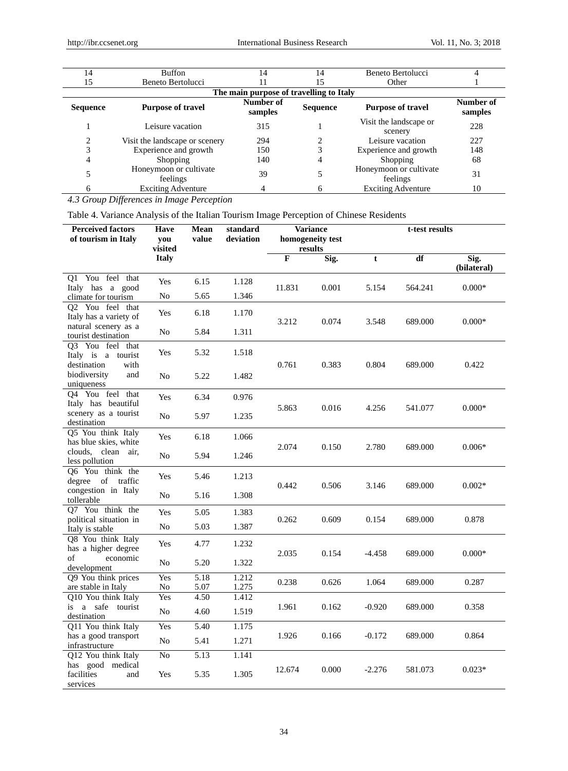| 14              | <b>Buffon</b>                           | 14                   | 14           | Beneto Bertolucci                  |                      |  |  |  |  |  |
|-----------------|-----------------------------------------|----------------------|--------------|------------------------------------|----------------------|--|--|--|--|--|
| 15              | Beneto Bertolucci                       |                      | 15           | Other                              |                      |  |  |  |  |  |
|                 | The main purpose of travelling to Italy |                      |              |                                    |                      |  |  |  |  |  |
| <b>Sequence</b> | <b>Purpose of travel</b>                | Number of<br>samples | Sequence     | <b>Purpose of travel</b>           | Number of<br>samples |  |  |  |  |  |
|                 | Leisure vacation                        | 315                  |              | Visit the landscape or<br>scenery  | 228                  |  |  |  |  |  |
| ↑               | Visit the landscape or scenery          | 294                  |              | Leisure vacation                   | 227                  |  |  |  |  |  |
| 3               | Experience and growth                   | 150                  |              | Experience and growth              | 148                  |  |  |  |  |  |
| 4               | <b>Shopping</b>                         | 140                  |              | Shopping                           | 68                   |  |  |  |  |  |
| 5               | Honeymoon or cultivate<br>feelings      | 39                   |              | Honeymoon or cultivate<br>feelings | 31                   |  |  |  |  |  |
| 6               | <b>Exciting Adventure</b>               |                      | <sub>0</sub> | <b>Exciting Adventure</b>          | 10                   |  |  |  |  |  |

*4.3 Group Differences in Image Perception*

Table 4. Variance Analysis of the Italian Tourism Image Perception of Chinese Residents

| <b>Perceived factors</b>                  | Have                    | Mean              | standard  |                  | <b>Variance</b> |             | t-test results |             |  |
|-------------------------------------------|-------------------------|-------------------|-----------|------------------|-----------------|-------------|----------------|-------------|--|
| of tourism in Italy                       | you                     | value             | deviation | homogeneity test |                 |             |                |             |  |
|                                           | visited<br><b>Italy</b> |                   |           | results<br>F     |                 |             |                | Sig.        |  |
|                                           |                         |                   |           |                  | Sig.            | $\mathbf t$ | df             | (bilateral) |  |
| You feel that<br>01                       |                         |                   |           |                  |                 |             |                |             |  |
| Italy has a good                          | Yes                     | 6.15              | 1.128     | 11.831           | 0.001           | 5.154       | 564.241        | $0.000*$    |  |
| climate for tourism                       | No                      | 5.65              | 1.346     |                  |                 |             |                |             |  |
| Q2 You feel that                          |                         |                   |           |                  |                 |             |                |             |  |
| Italy has a variety of                    | Yes                     | 6.18              | 1.170     | 3.212            | 0.074           | 3.548       | 689.000        | $0.000*$    |  |
| natural scenery as a                      | No                      | 5.84              | 1.311     |                  |                 |             |                |             |  |
| tourist destination                       |                         |                   |           |                  |                 |             |                |             |  |
| Q3 You feel that                          | Yes                     | 5.32              | 1.518     |                  |                 |             |                |             |  |
| Italy is a tourist                        |                         |                   |           |                  |                 |             |                |             |  |
| destination<br>with                       |                         |                   |           | 0.761            | 0.383           | 0.804       | 689.000        | 0.422       |  |
| biodiversity<br>and                       | No                      | 5.22              | 1.482     |                  |                 |             |                |             |  |
| uniqueness<br>Q4 You feel that            |                         |                   |           |                  |                 |             |                |             |  |
| Italy has beautiful                       | Yes                     | 6.34              | 0.976     |                  |                 |             |                |             |  |
| scenery as a tourist                      |                         |                   |           | 5.863            | 0.016           | 4.256       | 541.077        | $0.000*$    |  |
| destination                               | No                      | 5.97              | 1.235     |                  |                 |             |                |             |  |
| Q5 You think Italy                        |                         |                   |           |                  |                 |             |                |             |  |
| has blue skies, white                     | Yes                     | 6.18              | 1.066     |                  |                 |             |                |             |  |
| clouds, clean air,                        | No                      | 5.94              | 1.246     | 2.074            | 0.150           | 2.780       | 689.000        | $0.006*$    |  |
| less pollution                            |                         |                   |           |                  |                 |             |                |             |  |
| Q6 You think the                          | Yes                     | 5.46              | 1.213     |                  |                 |             |                |             |  |
| degree of traffic                         |                         |                   |           | 0.442            | 0.506           | 3.146       | 689.000        | $0.002*$    |  |
| congestion in Italy                       | No                      | 5.16              | 1.308     |                  |                 |             |                |             |  |
| tollerable                                |                         |                   |           |                  |                 |             |                |             |  |
| Q7 You think the                          | Yes                     | 5.05              | 1.383     |                  |                 |             |                |             |  |
| political situation in                    | No                      | 5.03              | 1.387     | 0.262            | 0.609           | 0.154       | 689.000        | 0.878       |  |
| Italy is stable                           |                         |                   |           |                  |                 |             |                |             |  |
| Q8 You think Italy<br>has a higher degree | Yes                     | 4.77              | 1.232     |                  |                 |             |                |             |  |
| of<br>economic                            |                         |                   |           | 2.035            | 0.154           | $-4.458$    | 689.000        | $0.000*$    |  |
| development                               | No                      | 5.20              | 1.322     |                  |                 |             |                |             |  |
| Q9 You think prices                       | Yes                     | 5.18              | 1.212     |                  |                 |             |                |             |  |
| are stable in Italy                       | No                      | 5.07              | 1.275     | 0.238            | 0.626           | 1.064       | 689.000        | 0.287       |  |
| Q10 You think Italy                       | Yes                     | 4.50              | 1.412     |                  |                 |             |                |             |  |
| a safe tourist<br>is                      |                         |                   |           | 1.961            | 0.162           | $-0.920$    | 689.000        | 0.358       |  |
| destination                               | $\rm No$                | 4.60              | 1.519     |                  |                 |             |                |             |  |
| Q11 You think Italy                       | Yes                     | 5.40              | 1.175     |                  |                 |             |                |             |  |
| has a good transport                      | $\rm No$                | 5.41              | 1.271     | 1.926            | 0.166           | $-0.172$    | 689.000        | 0.864       |  |
| infrastructure                            |                         |                   |           |                  |                 |             |                |             |  |
| Q12 You think Italy                       | $\overline{No}$         | $\overline{5.13}$ | 1.141     |                  |                 |             |                |             |  |
| has good medical                          |                         |                   |           | 12.674           | 0.000           | $-2.276$    | 581.073        | $0.023*$    |  |
| facilities<br>and                         | Yes                     | 5.35              | 1.305     |                  |                 |             |                |             |  |
| services                                  |                         |                   |           |                  |                 |             |                |             |  |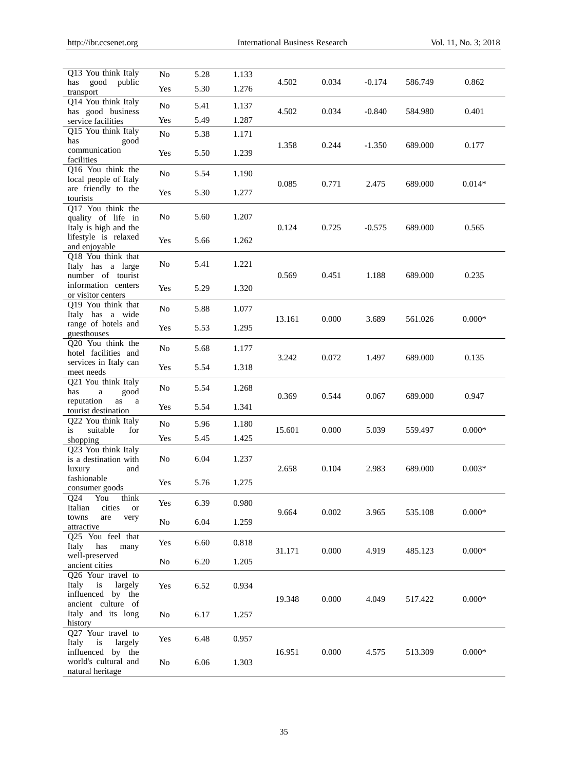| Q13 You think Italy                         | No             | 5.28 | 1.133 |        |       |          |         |          |
|---------------------------------------------|----------------|------|-------|--------|-------|----------|---------|----------|
| has<br>good<br>public                       | Yes            | 5.30 | 1.276 | 4.502  | 0.034 | $-0.174$ | 586.749 | 0.862    |
| transport                                   |                |      |       |        |       |          |         |          |
| Q14 You think Italy                         | No             | 5.41 | 1.137 | 4.502  | 0.034 | $-0.840$ |         | 0.401    |
| has good business<br>service facilities     | Yes            | 5.49 | 1.287 |        |       |          | 584.980 |          |
| Q15 You think Italy                         |                |      |       |        |       |          |         |          |
| has<br>good                                 | No             | 5.38 | 1.171 |        |       |          |         |          |
| communication                               | Yes            | 5.50 | 1.239 | 1.358  | 0.244 | $-1.350$ | 689.000 | 0.177    |
| facilities                                  |                |      |       |        |       |          |         |          |
| Q16 You think the                           | N <sub>o</sub> | 5.54 | 1.190 |        |       |          |         |          |
| local people of Italy                       |                |      |       | 0.085  | 0.771 | 2.475    | 689.000 | $0.014*$ |
| are friendly to the                         | Yes            | 5.30 | 1.277 |        |       |          |         |          |
| tourists                                    |                |      |       |        |       |          |         |          |
| Q17 You think the                           | N <sub>o</sub> | 5.60 | 1.207 |        |       |          |         |          |
| quality of life in<br>Italy is high and the |                |      |       | 0.124  | 0.725 | $-0.575$ | 689.000 | 0.565    |
| lifestyle is relaxed                        |                |      |       |        |       |          |         |          |
| and enjoyable                               | Yes            | 5.66 | 1.262 |        |       |          |         |          |
| Q18 You think that                          |                |      |       |        |       |          |         |          |
| Italy has a large                           | No             | 5.41 | 1.221 |        |       |          |         |          |
| number of tourist                           |                |      |       | 0.569  | 0.451 | 1.188    | 689.000 | 0.235    |
| information centers                         | Yes            | 5.29 | 1.320 |        |       |          |         |          |
| or visitor centers                          |                |      |       |        |       |          |         |          |
| Q19 You think that                          | N <sub>o</sub> | 5.88 | 1.077 |        |       |          |         |          |
| Italy has a wide                            |                |      |       | 13.161 | 0.000 | 3.689    | 561.026 | $0.000*$ |
| range of hotels and<br>guesthouses          | Yes            | 5.53 | 1.295 |        |       |          |         |          |
| Q20 You think the                           |                |      |       |        |       |          |         |          |
| hotel facilities and                        | No             | 5.68 | 1.177 |        |       |          |         |          |
| services in Italy can                       |                |      |       | 3.242  | 0.072 | 1.497    | 689.000 | 0.135    |
| meet needs                                  | Yes            | 5.54 | 1.318 |        |       |          |         |          |
| Q21 You think Italy                         |                |      |       |        |       |          |         |          |
| has<br>good<br>$\mathbf a$                  | No             | 5.54 | 1.268 | 0.369  | 0.544 | 0.067    | 689.000 | 0.947    |
| reputation<br>as<br>a                       | Yes            | 5.54 | 1.341 |        |       |          |         |          |
| tourist destination                         |                |      |       |        |       |          |         |          |
| Q22 You think Italy                         | N <sub>o</sub> | 5.96 | 1.180 |        |       |          |         |          |
| suitable<br>is<br>for                       | Yes            | 5.45 | 1.425 | 15.601 | 0.000 | 5.039    | 559.497 | $0.000*$ |
| shopping<br>Q23 You think Italy             |                |      |       |        |       |          |         |          |
| is a destination with                       | N <sub>o</sub> | 6.04 | 1.237 |        |       |          |         |          |
| luxury<br>and                               |                |      |       | 2.658  | 0.104 | 2.983    | 689.000 | $0.003*$ |
| fashionable                                 |                |      |       |        |       |          |         |          |
| consumer goods                              | Yes            | 5.76 | 1.275 |        |       |          |         |          |
| Q24<br>You<br>think                         |                |      |       |        |       |          |         |          |
| Italian<br>cities<br><b>or</b>              | Yes            | 6.39 | 0.980 | 9.664  | 0.002 | 3.965    | 535.108 | $0.000*$ |
| towns<br>are<br>very                        | No             | 6.04 | 1.259 |        |       |          |         |          |
| attractive                                  |                |      |       |        |       |          |         |          |
| Q25 You feel that                           | Yes            | 6.60 | 0.818 |        |       |          |         |          |
| Italy<br>has<br>many                        |                |      |       | 31.171 | 0.000 | 4.919    | 485.123 | $0.000*$ |
| well-preserved<br>ancient cities            | No             | 6.20 | 1.205 |        |       |          |         |          |
| Q26 Your travel to                          |                |      |       |        |       |          |         |          |
| Italy<br>is<br>largely                      | Yes            | 6.52 | 0.934 |        |       |          |         |          |
| influenced by the                           |                |      |       |        |       |          |         |          |
| ancient culture of                          |                |      |       | 19.348 | 0.000 | 4.049    | 517.422 | $0.000*$ |
| Italy and its long                          | No             | 6.17 | 1.257 |        |       |          |         |          |
| history                                     |                |      |       |        |       |          |         |          |
| Q27 Your travel to                          | Yes            | 6.48 | 0.957 |        |       |          |         |          |
| Italy<br>is<br>largely                      |                |      |       |        |       |          |         |          |
| influenced by the                           |                |      |       | 16.951 | 0.000 | 4.575    | 513.309 | $0.000*$ |
| world's cultural and                        | No             | 6.06 | 1.303 |        |       |          |         |          |
| natural heritage                            |                |      |       |        |       |          |         |          |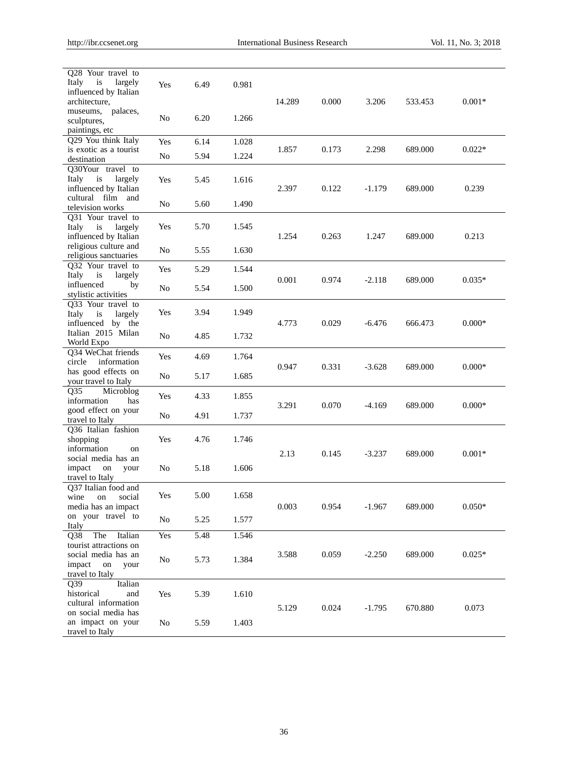| Q28 Your travel to<br>Italy<br>is<br>largely<br>influenced by Italian  | Yes            | 6.49 | 0.981 |        |       |          |         |          |
|------------------------------------------------------------------------|----------------|------|-------|--------|-------|----------|---------|----------|
| architecture,<br>palaces,<br>museums,<br>sculptures,<br>paintings, etc | N <sub>0</sub> | 6.20 | 1.266 | 14.289 | 0.000 | 3.206    | 533.453 | $0.001*$ |
| Q29 You think Italy                                                    | Yes            | 6.14 | 1.028 |        |       |          |         |          |
| is exotic as a tourist                                                 |                |      |       | 1.857  | 0.173 | 2.298    | 689.000 | $0.022*$ |
| destination                                                            | No             | 5.94 | 1.224 |        |       |          |         |          |
| Q30Your travel to                                                      |                |      |       |        |       |          |         |          |
| Italy<br>is<br>largely                                                 | Yes            | 5.45 | 1.616 |        |       |          |         |          |
| influenced by Italian                                                  |                |      |       | 2.397  | 0.122 | $-1.179$ | 689.000 | 0.239    |
| cultural film and                                                      | N <sub>o</sub> | 5.60 | 1.490 |        |       |          |         |          |
| television works                                                       |                |      |       |        |       |          |         |          |
| Q31 Your travel to                                                     |                |      |       |        |       |          |         |          |
| Italy<br>is<br>largely                                                 | Yes            | 5.70 | 1.545 |        |       |          |         |          |
| influenced by Italian<br>religious culture and                         |                |      |       | 1.254  | 0.263 | 1.247    | 689.000 | 0.213    |
| religious sanctuaries                                                  | No             | 5.55 | 1.630 |        |       |          |         |          |
| Q32 Your travel to                                                     |                |      |       |        |       |          |         |          |
| Italy<br>is<br>largely                                                 | Yes            | 5.29 | 1.544 |        |       |          |         |          |
| influenced<br>by                                                       |                |      |       | 0.001  | 0.974 | $-2.118$ | 689.000 | $0.035*$ |
| stylistic activities                                                   | N <sub>0</sub> | 5.54 | 1.500 |        |       |          |         |          |
| Q33 Your travel to                                                     |                |      |       |        |       |          |         |          |
| Italy<br>is<br>largely                                                 | Yes            | 3.94 | 1.949 |        |       |          |         |          |
| influenced by the                                                      |                |      |       | 4.773  | 0.029 | $-6.476$ | 666.473 | $0.000*$ |
| Italian 2015 Milan                                                     | No             | 4.85 | 1.732 |        |       |          |         |          |
| World Expo                                                             |                |      |       |        |       |          |         |          |
| Q34 WeChat friends                                                     | Yes            | 4.69 | 1.764 |        |       |          |         |          |
| information<br>circle                                                  |                |      |       | 0.947  | 0.331 | $-3.628$ | 689.000 | $0.000*$ |
| has good effects on                                                    | No             | 5.17 | 1.685 |        |       |          |         |          |
| your travel to Italy<br>Q <sub>35</sub><br>Microblog                   |                |      |       |        |       |          |         |          |
| information<br>has                                                     | Yes            | 4.33 | 1.855 |        |       |          |         |          |
| good effect on your                                                    |                |      |       | 3.291  | 0.070 | $-4.169$ | 689.000 | $0.000*$ |
| travel to Italy                                                        | N <sub>0</sub> | 4.91 | 1.737 |        |       |          |         |          |
| Q36 Italian fashion                                                    |                |      |       |        |       |          |         |          |
| shopping                                                               | Yes            | 4.76 | 1.746 |        |       |          |         |          |
| information<br>on                                                      |                |      |       | 2.13   | 0.145 | $-3.237$ | 689.000 | $0.001*$ |
| social media has an                                                    |                |      |       |        |       |          |         |          |
| impact<br>on<br>your                                                   | No             | 5.18 | 1.606 |        |       |          |         |          |
| travel to Italy                                                        |                |      |       |        |       |          |         |          |
| Q37 Italian food and                                                   | Yes            | 5.00 | 1.658 |        |       |          |         |          |
| social<br>wine<br>on<br>media has an impact                            |                |      |       | 0.003  | 0.954 | $-1.967$ | 689.000 | $0.050*$ |
| on your travel to                                                      |                |      |       |        |       |          |         |          |
| Italy                                                                  | No             | 5.25 | 1.577 |        |       |          |         |          |
| The<br>Q38<br>Italian                                                  | Yes            | 5.48 | 1.546 |        |       |          |         |          |
| tourist attractions on                                                 |                |      |       |        |       |          |         |          |
| social media has an                                                    |                |      |       | 3.588  | 0.059 | $-2.250$ | 689.000 | $0.025*$ |
| impact<br>on<br>your                                                   | No             | 5.73 | 1.384 |        |       |          |         |          |
| travel to Italy                                                        |                |      |       |        |       |          |         |          |
| Italian<br>Q39                                                         |                |      |       |        |       |          |         |          |
| historical<br>and                                                      | Yes            | 5.39 | 1.610 |        |       |          |         |          |
| cultural information                                                   |                |      |       | 5.129  | 0.024 | $-1.795$ | 670.880 | 0.073    |
| on social media has                                                    |                |      |       |        |       |          |         |          |
| an impact on your<br>travel to Italy                                   | No             | 5.59 | 1.403 |        |       |          |         |          |
|                                                                        |                |      |       |        |       |          |         |          |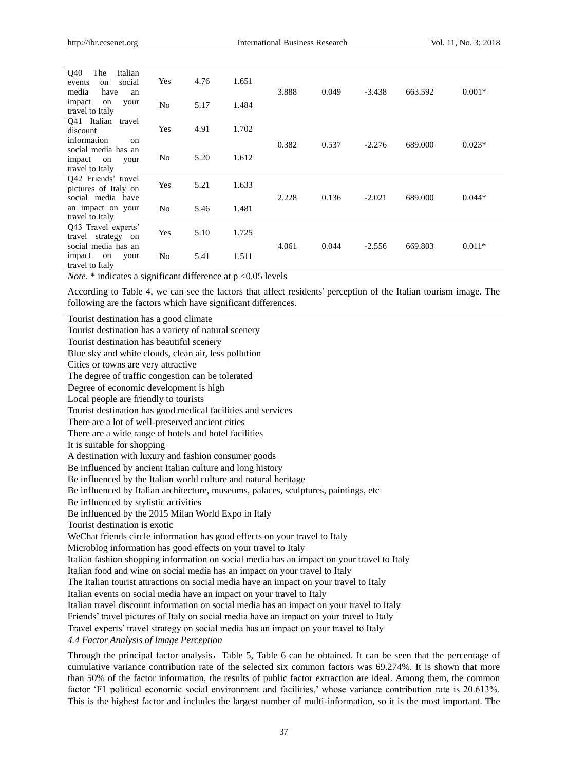| Italian<br>O40<br>The<br>social<br>events<br>on<br>media<br>have<br>an | Yes            | 4.76 | 1.651 | 3.888 | 0.049 | $-3.438$ | 663.592 | $0.001*$ |
|------------------------------------------------------------------------|----------------|------|-------|-------|-------|----------|---------|----------|
| impact<br>on<br>your<br>travel to Italy                                | N <sub>o</sub> | 5.17 | 1.484 |       |       |          |         |          |
| O41 Italian travel<br>discount                                         | Yes            | 4.91 | 1.702 |       |       |          |         |          |
| information<br>on                                                      |                |      |       | 0.382 | 0.537 | $-2.276$ | 689.000 | $0.023*$ |
| social media has an<br>impact<br>on<br>your<br>travel to Italy         | No             | 5.20 | 1.612 |       |       |          |         |          |
| O42 Friends' travel<br>pictures of Italy on                            | Yes            | 5.21 | 1.633 |       |       |          |         |          |
| social media have<br>an impact on your<br>travel to Italy              | No             | 5.46 | 1.481 | 2.228 | 0.136 | $-2.021$ | 689.000 | $0.044*$ |
| Q43 Travel experts'<br>travel strategy on                              | Yes            | 5.10 | 1.725 |       |       |          |         |          |
| social media has an<br>impact<br>on<br>your<br>travel to Italy         | No             | 5.41 | 1.511 | 4.061 | 0.044 | $-2.556$ | 669.803 | $0.011*$ |

*Note*. \* indicates a significant difference at  $p < 0.05$  levels

According to Table 4, we can see the factors that affect residents' perception of the Italian tourism image. The following are the factors which have significant differences.

Tourist destination has a good climate

Tourist destination has a variety of natural scenery

Tourist destination has beautiful scenery

Blue sky and white clouds, clean air, less pollution

Cities or towns are very attractive

The degree of traffic congestion can be tolerated

Degree of economic development is high

Local people are friendly to tourists

Tourist destination has good medical facilities and services

There are a lot of well-preserved ancient cities

There are a wide range of hotels and hotel facilities

It is suitable for shopping

A destination with luxury and fashion consumer goods

Be influenced by ancient Italian culture and long history

Be influenced by the Italian world culture and natural heritage

Be influenced by Italian architecture, museums, palaces, sculptures, paintings, etc

Be influenced by stylistic activities

Be influenced by the 2015 Milan World Expo in Italy

Tourist destination is exotic

WeChat friends circle information has good effects on your travel to Italy

Microblog information has good effects on your travel to Italy

Italian fashion shopping information on social media has an impact on your travel to Italy

Italian food and wine on social media has an impact on your travel to Italy

The Italian tourist attractions on social media have an impact on your travel to Italy

Italian events on social media have an impact on your travel to Italy

Italian travel discount information on social media has an impact on your travel to Italy

Friends' travel pictures of Italy on social media have an impact on your travel to Italy

Travel experts' travel strategy on social media has an impact on your travel to Italy

*4.4 Factor Analysis of Image Perception*

Through the principal factor analysis,Table 5, Table 6 can be obtained. It can be seen that the percentage of cumulative variance contribution rate of the selected six common factors was 69.274%. It is shown that more than 50% of the factor information, the results of public factor extraction are ideal. Among them, the common factor 'F1 political economic social environment and facilities,' whose variance contribution rate is 20.613%. This is the highest factor and includes the largest number of multi-information, so it is the most important. The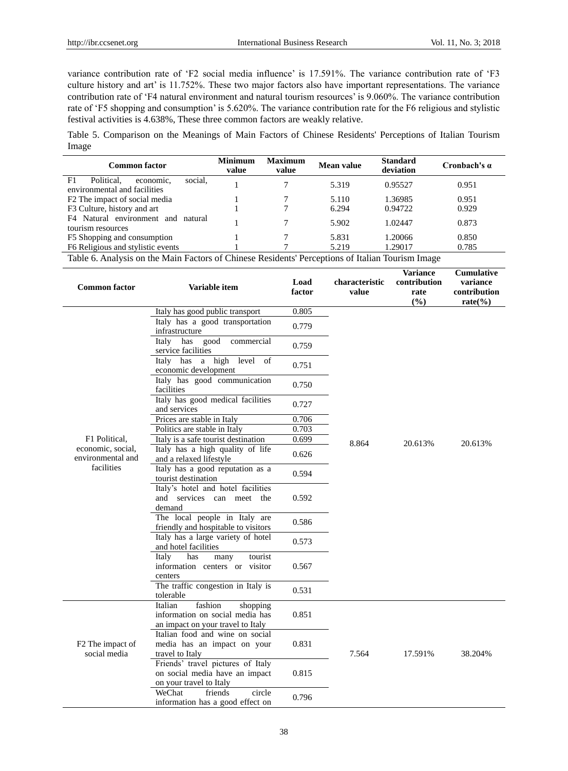**Cumulative** 

 $V_{\alpha}$   $\alpha$   $\beta$   $\alpha$   $\alpha$   $\alpha$ 

variance contribution rate of 'F2 social media influence' is 17.591%. The variance contribution rate of 'F3 culture history and art' is 11.752%. These two major factors also have important representations. The variance contribution rate of 'F4 natural environment and natural tourism resources' is 9.060%. The variance contribution rate of 'F5 shopping and consumption' is 5.620%. The variance contribution rate for the F6 religious and stylistic festival activities is 4.638%, These three common factors are weakly relative.

Table 5. Comparison on the Meanings of Main Factors of Chinese Residents' Perceptions of Italian Tourism Image

| <b>Common factor</b>                                                                                | <b>Minimum</b><br>value | <b>Maximum</b><br>value | Mean value | <b>Standard</b><br>deviation | Cronbach's $\alpha$ |
|-----------------------------------------------------------------------------------------------------|-------------------------|-------------------------|------------|------------------------------|---------------------|
| social.<br>F1<br>Political.<br>economic.<br>environmental and facilities                            |                         |                         | 5.319      | 0.95527                      | 0.951               |
| F2 The impact of social media                                                                       |                         |                         | 5.110      | 1.36985                      | 0.951               |
| F3 Culture, history and art                                                                         |                         |                         | 6.294      | 0.94722                      | 0.929               |
| F4 Natural environment and natural<br>tourism resources                                             |                         |                         | 5.902      | 1.02447                      | 0.873               |
| F5 Shopping and consumption                                                                         |                         |                         | 5.831      | 1.20066                      | 0.850               |
| F6 Religious and stylistic events                                                                   |                         |                         | 5.219      | 1.29017                      | 0.785               |
| Takla C. Anglesia ng tha Main Bantaga of Chinaga Davidantel Demonstrance of Italian Terruism Incorp |                         |                         |            |                              |                     |

Table 6. Analysis on the Main Factors of Chinese Residents' Perceptions of Italian Tourism Image

| <b>Common factor</b>                                 | Variable item                                                                                          | Load<br>factor | characteristic<br>value | vaгіанс <del>е</del><br>contribution<br>rate<br>(%) | Cumulative<br>variance<br>contribution<br>$rate(\%)$ |
|------------------------------------------------------|--------------------------------------------------------------------------------------------------------|----------------|-------------------------|-----------------------------------------------------|------------------------------------------------------|
|                                                      | Italy has good public transport                                                                        | 0.805          |                         |                                                     |                                                      |
|                                                      | Italy has a good transportation<br>infrastructure                                                      | 0.779          |                         |                                                     |                                                      |
|                                                      | Italy has<br>good<br>commercial<br>service facilities                                                  | 0.759          |                         |                                                     |                                                      |
|                                                      | Italy<br>has<br>a high<br>level<br>of<br>economic development                                          | 0.751          |                         |                                                     |                                                      |
|                                                      | Italy has good communication<br>facilities                                                             | 0.750          |                         |                                                     |                                                      |
|                                                      | Italy has good medical facilities<br>and services                                                      | 0.727          |                         |                                                     |                                                      |
|                                                      | Prices are stable in Italy                                                                             | 0.706          |                         |                                                     |                                                      |
|                                                      | Politics are stable in Italy                                                                           | 0.703          |                         |                                                     |                                                      |
| F1 Political,                                        | Italy is a safe tourist destination                                                                    | 0.699          | 8.864                   | 20.613%                                             | 20.613%                                              |
| economic, social,<br>environmental and<br>facilities | Italy has a high quality of life<br>and a relaxed lifestyle                                            | 0.626          |                         |                                                     |                                                      |
|                                                      | Italy has a good reputation as a<br>tourist destination                                                | 0.594          |                         |                                                     |                                                      |
|                                                      | Italy's hotel and hotel facilities<br>and services can meet the<br>demand                              | 0.592          |                         |                                                     |                                                      |
|                                                      | The local people in Italy are<br>friendly and hospitable to visitors                                   | 0.586          |                         |                                                     |                                                      |
|                                                      | Italy has a large variety of hotel<br>and hotel facilities                                             | 0.573          |                         |                                                     |                                                      |
|                                                      | Italy<br>has<br>tourist<br>many<br>information centers or visitor<br>centers                           | 0.567          |                         |                                                     |                                                      |
|                                                      | The traffic congestion in Italy is<br>tolerable                                                        | 0.531          |                         |                                                     |                                                      |
|                                                      | Italian<br>fashion<br>shopping<br>information on social media has<br>an impact on your travel to Italy | 0.851          |                         |                                                     |                                                      |
| F2 The impact of<br>social media                     | Italian food and wine on social<br>media has an impact on your<br>travel to Italy                      | 0.831          | 7.564                   | 17.591%                                             | 38.204%                                              |
|                                                      | Friends' travel pictures of Italy<br>on social media have an impact<br>on your travel to Italy         | 0.815          |                         |                                                     |                                                      |
|                                                      | WeChat<br>friends<br>circle<br>information has a good effect on                                        | 0.796          |                         |                                                     |                                                      |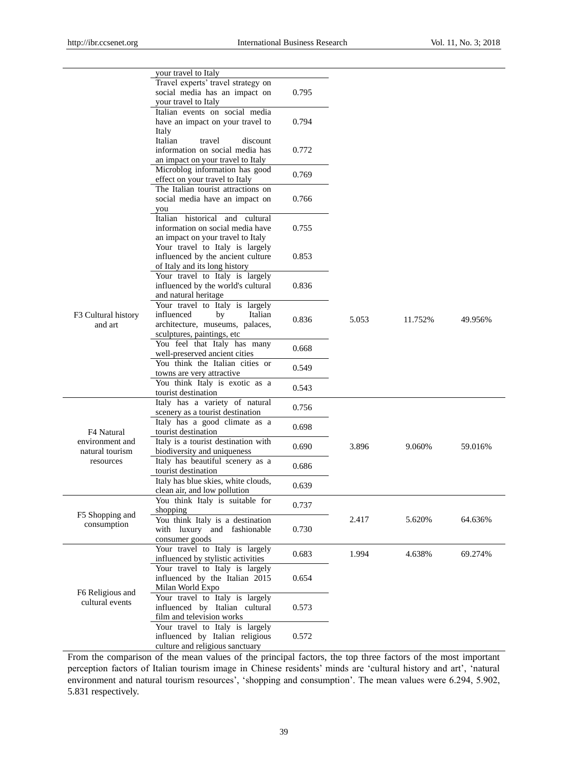l,

 $\overline{a}$ 

|                     | your travel to Italy                                                |       |       |         |         |
|---------------------|---------------------------------------------------------------------|-------|-------|---------|---------|
|                     | Travel experts' travel strategy on<br>social media has an impact on | 0.795 |       |         |         |
|                     | your travel to Italy                                                |       |       |         |         |
|                     | Italian events on social media                                      |       |       |         |         |
|                     | have an impact on your travel to                                    | 0.794 |       |         |         |
|                     | Italy                                                               |       |       |         |         |
|                     | Italian<br>travel<br>discount                                       |       |       |         |         |
|                     | information on social media has                                     | 0.772 |       |         |         |
|                     | an impact on your travel to Italy                                   |       |       |         |         |
|                     | Microblog information has good                                      | 0.769 |       |         |         |
|                     | effect on your travel to Italy                                      |       |       |         |         |
|                     | The Italian tourist attractions on                                  |       |       |         |         |
|                     | social media have an impact on                                      | 0.766 |       |         |         |
|                     | you                                                                 |       |       |         |         |
|                     | Italian historical and cultural                                     |       |       |         |         |
|                     | information on social media have                                    | 0.755 |       |         |         |
|                     | an impact on your travel to Italy                                   |       |       |         |         |
|                     | Your travel to Italy is largely                                     |       |       |         |         |
|                     | influenced by the ancient culture                                   | 0.853 |       |         |         |
|                     | of Italy and its long history                                       |       |       |         |         |
|                     | Your travel to Italy is largely                                     |       |       |         |         |
|                     | influenced by the world's cultural                                  | 0.836 |       |         |         |
|                     | and natural heritage                                                |       |       |         |         |
|                     | Your travel to Italy is largely                                     |       |       |         |         |
| F3 Cultural history | influenced<br>Italian<br>by                                         | 0.836 | 5.053 | 11.752% | 49.956% |
| and art             | architecture, museums, palaces,                                     |       |       |         |         |
|                     | sculptures, paintings, etc                                          |       |       |         |         |
|                     | You feel that Italy has many                                        | 0.668 |       |         |         |
|                     | well-preserved ancient cities                                       |       |       |         |         |
|                     | You think the Italian cities or                                     | 0.549 |       |         |         |
|                     | towns are very attractive                                           |       |       |         |         |
|                     | You think Italy is exotic as a                                      | 0.543 |       |         |         |
|                     | tourist destination                                                 |       |       |         |         |
|                     | Italy has a variety of natural                                      | 0.756 |       |         |         |
|                     | scenery as a tourist destination                                    |       |       |         |         |
|                     | Italy has a good climate as a                                       | 0.698 |       |         |         |
| F4 Natural          | tourist destination                                                 |       |       |         |         |
| environment and     | Italy is a tourist destination with                                 | 0.690 | 3.896 | 9.060%  | 59.016% |
| natural tourism     | biodiversity and uniqueness                                         |       |       |         |         |
| resources           | Italy has beautiful scenery as a                                    | 0.686 |       |         |         |
|                     | tourist destination                                                 |       |       |         |         |
|                     | Italy has blue skies, white clouds,                                 | 0.639 |       |         |         |
|                     | clean air, and low pollution                                        |       |       |         |         |
|                     | You think Italy is suitable for                                     | 0.737 |       |         |         |
| F5 Shopping and     | shopping                                                            |       |       |         |         |
| consumption         | You think Italy is a destination                                    |       | 2.417 | 5.620%  | 64.636% |
|                     | with luxury and fashionable                                         | 0.730 |       |         |         |
|                     | consumer goods                                                      |       |       |         |         |
|                     | Your travel to Italy is largely                                     | 0.683 | 1.994 | 4.638%  | 69.274% |
|                     | influenced by stylistic activities                                  |       |       |         |         |
|                     | Your travel to Italy is largely                                     |       |       |         |         |
|                     | influenced by the Italian 2015                                      | 0.654 |       |         |         |
| F6 Religious and    | Milan World Expo                                                    |       |       |         |         |
| cultural events     | Your travel to Italy is largely                                     |       |       |         |         |
|                     | influenced by Italian cultural                                      | 0.573 |       |         |         |
|                     | film and television works                                           |       |       |         |         |
|                     | Your travel to Italy is largely                                     |       |       |         |         |
|                     | influenced by Italian religious                                     | 0.572 |       |         |         |
|                     | culture and religious sanctuary                                     |       |       |         |         |

From the comparison of the mean values of the principal factors, the top three factors of the most important perception factors of Italian tourism image in Chinese residents' minds are 'cultural history and art', 'natural environment and natural tourism resources', 'shopping and consumption'. The mean values were 6.294, 5.902, 5.831 respectively.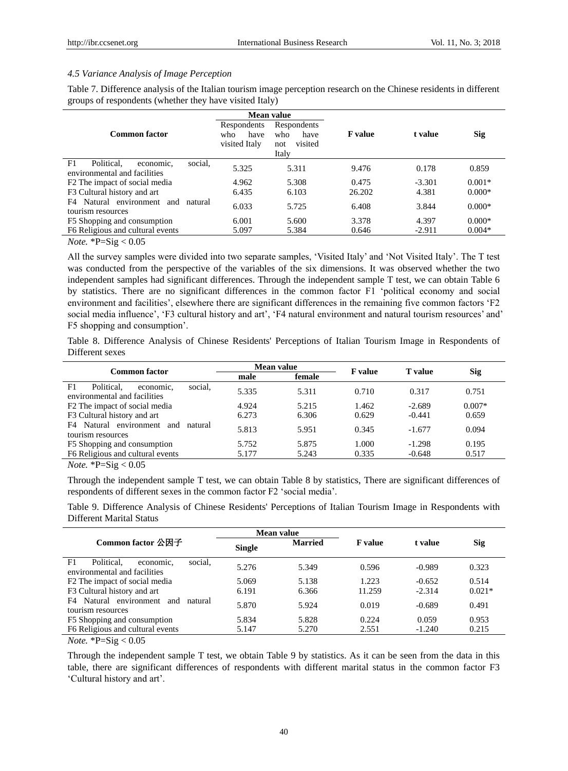### *4.5 Variance Analysis of Image Perception*

Table 7. Difference analysis of the Italian tourism image perception research on the Chinese residents in different groups of respondents (whether they have visited Italy)

|                                                                          |                                             | Mean value                                            |                |          |            |
|--------------------------------------------------------------------------|---------------------------------------------|-------------------------------------------------------|----------------|----------|------------|
| <b>Common factor</b>                                                     | Respondents<br>who<br>have<br>visited Italy | Respondents<br>who<br>have<br>visited<br>not<br>Italy | <b>F</b> value | t value  | <b>Sig</b> |
| F1<br>social.<br>Political.<br>economic.<br>environmental and facilities | 5.325                                       | 5.311                                                 | 9.476          | 0.178    | 0.859      |
| F <sub>2</sub> The impact of social media                                | 4.962                                       | 5.308                                                 | 0.475          | $-3.301$ | $0.001*$   |
| F3 Cultural history and art                                              | 6.435                                       | 6.103                                                 | 26.202         | 4.381    | $0.000*$   |
| F4 Natural environment and<br>natural<br>tourism resources               | 6.033                                       | 5.725                                                 | 6.408          | 3.844    | $0.000*$   |
| F5 Shopping and consumption                                              | 6.001                                       | 5.600                                                 | 3.378          | 4.397    | $0.000*$   |
| F6 Religious and cultural events                                         | 5.097                                       | 5.384                                                 | 0.646          | $-2.911$ | $0.004*$   |
|                                                                          |                                             |                                                       |                |          |            |

*Note.* \*P=Sig < 0.05

All the survey samples were divided into two separate samples, 'Visited Italy' and 'Not Visited Italy'. The T test was conducted from the perspective of the variables of the six dimensions. It was observed whether the two independent samples had significant differences. Through the independent sample T test, we can obtain Table 6 by statistics. There are no significant differences in the common factor F1 'political economy and social environment and facilities', elsewhere there are significant differences in the remaining five common factors 'F2 social media influence', 'F3 cultural history and art', 'F4 natural environment and natural tourism resources' and' F5 shopping and consumption'.

Table 8. Difference Analysis of Chinese Residents' Perceptions of Italian Tourism Image in Respondents of Different sexes

| <b>Common factor</b>                                                     |       | <b>Mean value</b> | <b>F</b> value | <b>T</b> value |          |
|--------------------------------------------------------------------------|-------|-------------------|----------------|----------------|----------|
|                                                                          | male  | female            |                |                | Sig      |
| social.<br>Political.<br>F1<br>economic.<br>environmental and facilities | 5.335 | 5.311             | 0.710          | 0.317          | 0.751    |
| F <sub>2</sub> The impact of social media                                | 4.924 | 5.215             | 1.462          | $-2.689$       | $0.007*$ |
| F3 Cultural history and art                                              | 6.273 | 6.306             | 0.629          | $-0.441$       | 0.659    |
| F4 Natural environment and<br>natural<br>tourism resources               | 5.813 | 5.951             | 0.345          | $-1.677$       | 0.094    |
| F5 Shopping and consumption                                              | 5.752 | 5.875             | 1.000          | $-1.298$       | 0.195    |
| F6 Religious and cultural events                                         | 5.177 | 5.243             | 0.335          | $-0.648$       | 0.517    |
| $\sim$ $\sim$ $\sim$<br>$\mathbf{v}$                                     |       |                   |                |                |          |

*Note.* \*P=Sig < 0.05

Through the independent sample T test, we can obtain Table 8 by statistics, There are significant differences of respondents of different sexes in the common factor F2 'social media'.

Table 9. Difference Analysis of Chinese Residents' Perceptions of Italian Tourism Image in Respondents with Different Marital Status

|                                                                          |               | Mean value     |                |          |          |
|--------------------------------------------------------------------------|---------------|----------------|----------------|----------|----------|
| Common factor 公因子                                                        | <b>Single</b> | <b>Married</b> | <b>F</b> value | t value  | Sig      |
| social.<br>F1<br>Political.<br>economic.<br>environmental and facilities | 5.276         | 5.349          | 0.596          | $-0.989$ | 0.323    |
| F2 The impact of social media                                            | 5.069         | 5.138          | 1.223          | $-0.652$ | 0.514    |
| F3 Cultural history and art                                              | 6.191         | 6.366          | 11.259         | $-2.314$ | $0.021*$ |
| F4 Natural environment and<br>natural<br>tourism resources               | 5.870         | 5.924          | 0.019          | $-0.689$ | 0.491    |
| F5 Shopping and consumption                                              | 5.834         | 5.828          | 0.224          | 0.059    | 0.953    |
| F6 Religious and cultural events                                         | 5.147         | 5.270          | 2.551          | $-1.240$ | 0.215    |

*Note.* \*P=Sig < 0.05

Through the independent sample T test, we obtain Table 9 by statistics. As it can be seen from the data in this table, there are significant differences of respondents with different marital status in the common factor F3 'Cultural history and art'.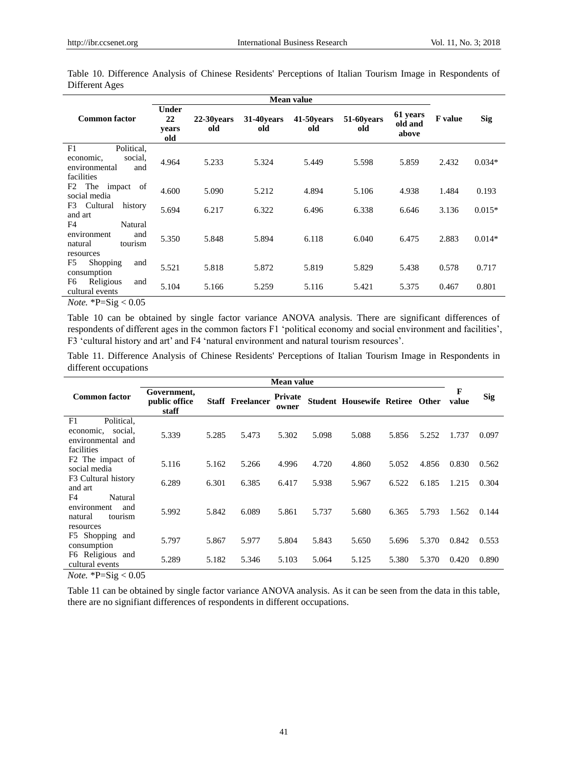| <b>Mean value</b>                                                              |                                    |                   |                    |                    |                    |                              |                |            |
|--------------------------------------------------------------------------------|------------------------------------|-------------------|--------------------|--------------------|--------------------|------------------------------|----------------|------------|
| <b>Common factor</b>                                                           | <b>Under</b><br>22<br>years<br>old | 22-30years<br>old | 31-40 years<br>old | 41-50 years<br>old | 51-60 vears<br>old | 61 years<br>old and<br>above | <b>F</b> value | <b>Sig</b> |
| F1<br>Political,<br>social,<br>economic,<br>environmental<br>and<br>facilities | 4.964                              | 5.233             | 5.324              | 5.449              | 5.598              | 5.859                        | 2.432          | $0.034*$   |
| The<br>F2<br>impact of<br>social media                                         | 4.600                              | 5.090             | 5.212              | 4.894              | 5.106              | 4.938                        | 1.484          | 0.193      |
| Cultural<br>F3<br>history<br>and art                                           | 5.694                              | 6.217             | 6.322              | 6.496              | 6.338              | 6.646                        | 3.136          | $0.015*$   |
| F4<br>Natural<br>environment<br>and<br>natural<br>tourism<br>resources         | 5.350                              | 5.848             | 5.894              | 6.118              | 6.040              | 6.475                        | 2.883          | $0.014*$   |
| F5<br>Shopping<br>and<br>consumption                                           | 5.521                              | 5.818             | 5.872              | 5.819              | 5.829              | 5.438                        | 0.578          | 0.717      |
| Religious<br>F6<br>and<br>cultural events                                      | 5.104                              | 5.166             | 5.259              | 5.116              | 5.421              | 5.375                        | 0.467          | 0.801      |

Table 10. Difference Analysis of Chinese Residents' Perceptions of Italian Tourism Image in Respondents of Different Ages

*Note.* \*P=Sig < 0.05

Table 10 can be obtained by single factor variance ANOVA analysis. There are significant differences of respondents of different ages in the common factors F1 'political economy and social environment and facilities', F3 'cultural history and art' and F4 'natural environment and natural tourism resources'.

Table 11. Difference Analysis of Chinese Residents' Perceptions of Italian Tourism Image in Respondents in different occupations

| Mean value                                                               |                                       |       |                         |                         |       |                                        |       |       |            |            |
|--------------------------------------------------------------------------|---------------------------------------|-------|-------------------------|-------------------------|-------|----------------------------------------|-------|-------|------------|------------|
| <b>Common factor</b>                                                     | Government,<br>public office<br>staff |       | <b>Staff Freelancer</b> | <b>Private</b><br>owner |       | <b>Student Housewife Retiree Other</b> |       |       | F<br>value | <b>Sig</b> |
| Political,<br>F1<br>economic, social,<br>environmental and<br>facilities | 5.339                                 | 5.285 | 5.473                   | 5.302                   | 5.098 | 5.088                                  | 5.856 | 5.252 | 1.737      | 0.097      |
| F <sub>2</sub> The impact of<br>social media                             | 5.116                                 | 5.162 | 5.266                   | 4.996                   | 4.720 | 4.860                                  | 5.052 | 4.856 | 0.830      | 0.562      |
| F <sub>3</sub> Cultural history<br>and art                               | 6.289                                 | 6.301 | 6.385                   | 6.417                   | 5.938 | 5.967                                  | 6.522 | 6.185 | 1.215      | 0.304      |
| F4<br>Natural<br>environment<br>and<br>natural<br>tourism<br>resources   | 5.992                                 | 5.842 | 6.089                   | 5.861                   | 5.737 | 5.680                                  | 6.365 | 5.793 | 1.562      | 0.144      |
| Shopping<br>F5<br>and<br>consumption                                     | 5.797                                 | 5.867 | 5.977                   | 5.804                   | 5.843 | 5.650                                  | 5.696 | 5.370 | 0.842      | 0.553      |
| F6 Religious and<br>cultural events                                      | 5.289                                 | 5.182 | 5.346                   | 5.103                   | 5.064 | 5.125                                  | 5.380 | 5.370 | 0.420      | 0.890      |

*Note.* \*P=Sig < 0.05

Table 11 can be obtained by single factor variance ANOVA analysis. As it can be seen from the data in this table, there are no signifiant differences of respondents in different occupations.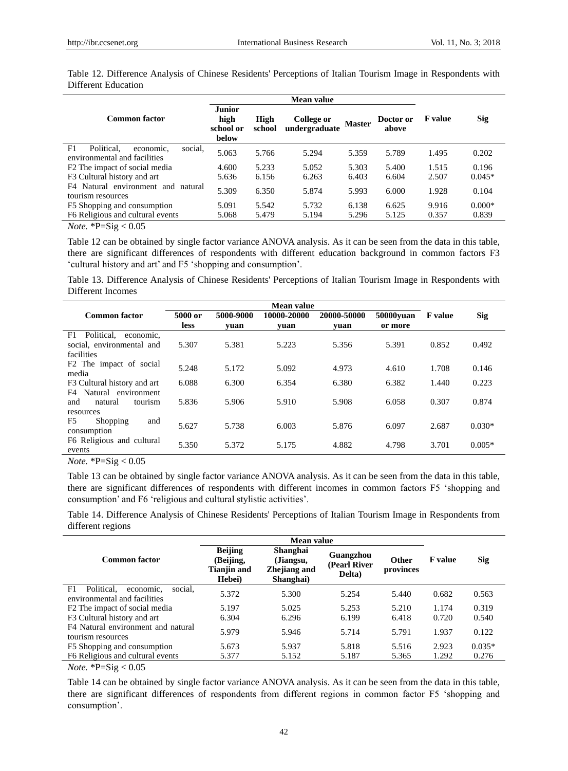| <b>Common factor</b>                                                     | <b>Junior</b><br>high<br>school or<br>below | <b>High</b><br>school | College or<br>undergraduate | <b>Master</b> | Doctor or<br>above | <b>F</b> value | Sig      |
|--------------------------------------------------------------------------|---------------------------------------------|-----------------------|-----------------------------|---------------|--------------------|----------------|----------|
| Political.<br>social,<br>F1<br>economic.<br>environmental and facilities | 5.063                                       | 5.766                 | 5.294                       | 5.359         | 5.789              | 1.495          | 0.202    |
| F <sub>2</sub> The impact of social media                                | 4.600                                       | 5.233                 | 5.052                       | 5.303         | 5.400              | 1.515          | 0.196    |
| F3 Cultural history and art                                              | 5.636                                       | 6.156                 | 6.263                       | 6.403         | 6.604              | 2.507          | $0.045*$ |
| F4 Natural environment and natural<br>tourism resources                  | 5.309                                       | 6.350                 | 5.874                       | 5.993         | 6.000              | 1.928          | 0.104    |
| F5 Shopping and consumption                                              | 5.091                                       | 5.542                 | 5.732                       | 6.138         | 6.625              | 9.916          | $0.000*$ |
| F6 Religious and cultural events                                         | 5.068                                       | 5.479                 | 5.194                       | 5.296         | 5.125              | 0.357          | 0.839    |

Table 12. Difference Analysis of Chinese Residents' Perceptions of Italian Tourism Image in Respondents with Different Education

*Note.* \*P=Sig < 0.05

Table 12 can be obtained by single factor variance ANOVA analysis. As it can be seen from the data in this table, there are significant differences of respondents with different education background in common factors F3 'cultural history and art' and F5 'shopping and consumption'.

Table 13. Difference Analysis of Chinese Residents' Perceptions of Italian Tourism Image in Respondents with Different Incomes

|                                     | <b>Mean value</b> |           |             |             |           |                |          |
|-------------------------------------|-------------------|-----------|-------------|-------------|-----------|----------------|----------|
| <b>Common factor</b>                | 5000 or           | 5000-9000 | 10000-20000 | 20000-50000 | 50000yuan | <b>F</b> value | Sig      |
|                                     | <b>less</b>       | vuan      | vuan        | vuan        | or more   |                |          |
| Political,<br>F1<br>economic,       |                   |           |             |             |           |                |          |
| social, environmental and           | 5.307             | 5.381     | 5.223       | 5.356       | 5.391     | 0.852          | 0.492    |
| facilities                          |                   |           |             |             |           |                |          |
| F <sub>2</sub> The impact of social | 5.248             | 5.172     | 5.092       | 4.973       | 4.610     | 1.708          | 0.146    |
| media                               |                   |           |             |             |           |                |          |
| F3 Cultural history and art         | 6.088             | 6.300     | 6.354       | 6.380       | 6.382     | 1.440          | 0.223    |
| Natural<br>F4<br>environment        |                   |           |             |             |           |                |          |
| natural<br>and<br>tourism           | 5.836             | 5.906     | 5.910       | 5.908       | 6.058     | 0.307          | 0.874    |
| resources                           |                   |           |             |             |           |                |          |
| F5<br>Shopping<br>and               | 5.627             | 5.738     | 6.003       | 5.876       | 6.097     | 2.687          | $0.030*$ |
| consumption                         |                   |           |             |             |           |                |          |
| F6 Religious and cultural           | 5.350             | 5.372     | 5.175       | 4.882       | 4.798     | 3.701          | $0.005*$ |
| events                              |                   |           |             |             |           |                |          |

*Note.* \*P=Sig < 0.05

Table 13 can be obtained by single factor variance ANOVA analysis. As it can be seen from the data in this table, there are significant differences of respondents with different incomes in common factors F5 'shopping and consumption' and F6 'religious and cultural stylistic activities'.

Table 14. Difference Analysis of Chinese Residents' Perceptions of Italian Tourism Image in Respondents from different regions

| <b>Common factor</b>                                                     | <b>Beijing</b><br>(Beijing,<br><b>Tianjin and</b><br>Hebei) | Shanghai<br>(Jiangsu,<br>Zhejiang and<br>Shanghai) | Guangzhou<br>(Pearl River<br>Delta) | <b>Other</b><br>provinces | <b>F</b> value | <b>Sig</b> |
|--------------------------------------------------------------------------|-------------------------------------------------------------|----------------------------------------------------|-------------------------------------|---------------------------|----------------|------------|
| Political.<br>social.<br>F1<br>economic.<br>environmental and facilities | 5.372                                                       | 5.300                                              | 5.254                               | 5.440                     | 0.682          | 0.563      |
| F <sub>2</sub> The impact of social media                                | 5.197                                                       | 5.025                                              | 5.253                               | 5.210                     | 1.174          | 0.319      |
| F3 Cultural history and art                                              | 6.304                                                       | 6.296                                              | 6.199                               | 6.418                     | 0.720          | 0.540      |
| F4 Natural environment and natural<br>tourism resources                  | 5.979                                                       | 5.946                                              | 5.714                               | 5.791                     | 1.937          | 0.122      |
| F5 Shopping and consumption                                              | 5.673                                                       | 5.937                                              | 5.818                               | 5.516                     | 2.923          | $0.035*$   |
| F6 Religious and cultural events                                         | 5.377                                                       | 5.152                                              | 5.187                               | 5.365                     | 1.292          | 0.276      |
|                                                                          |                                                             |                                                    |                                     |                           |                |            |

*Note.* \*P=Sig < 0.05

Table 14 can be obtained by single factor variance ANOVA analysis. As it can be seen from the data in this table, there are significant differences of respondents from different regions in common factor F5 'shopping and consumption'.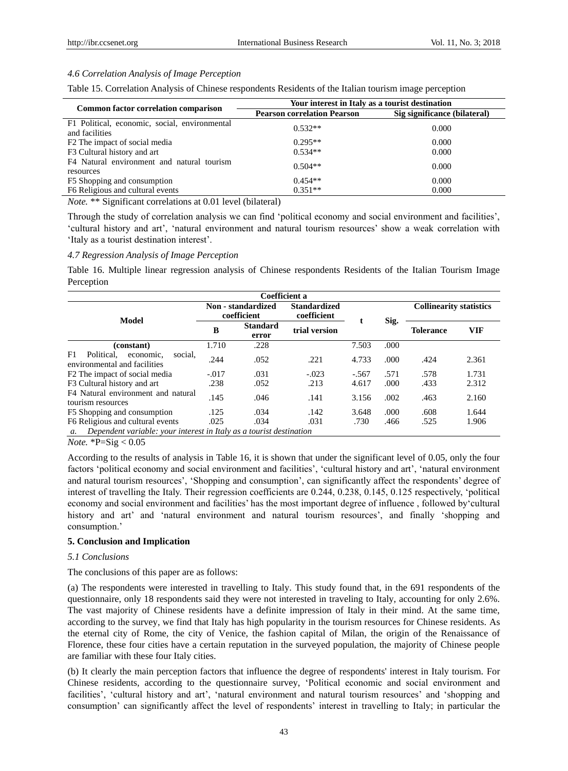### *4.6 Correlation Analysis of Image Perception*

Table 15. Correlation Analysis of Chinese respondents Residents of the Italian tourism image perception

| Common factor correlation comparison                            | Your interest in Italy as a tourist destination |                              |  |  |  |  |
|-----------------------------------------------------------------|-------------------------------------------------|------------------------------|--|--|--|--|
|                                                                 | <b>Pearson correlation Pearson</b>              | Sig significance (bilateral) |  |  |  |  |
| F1 Political, economic, social, environmental<br>and facilities | $0.532**$                                       | 0.000                        |  |  |  |  |
| F <sub>2</sub> The impact of social media                       | $0.295**$                                       | 0.000                        |  |  |  |  |
| F3 Cultural history and art                                     | $0.534**$                                       | 0.000                        |  |  |  |  |
| F4 Natural environment and natural tourism<br>resources         | $0.504**$                                       | 0.000                        |  |  |  |  |
| F5 Shopping and consumption                                     | $0.454**$                                       | 0.000                        |  |  |  |  |
| F6 Religious and cultural events                                | $0.351**$                                       | 0.000                        |  |  |  |  |

*Note.* \*\* Significant correlations at 0.01 level (bilateral)

Through the study of correlation analysis we can find 'political economy and social environment and facilities', 'cultural history and art', 'natural environment and natural tourism resources' show a weak correlation with 'Italy as a tourist destination interest'.

#### *4.7 Regression Analysis of Image Perception*

Table 16. Multiple linear regression analysis of Chinese respondents Residents of the Italian Tourism Image Perception

| Coefficient a                                                                          |                                   |                          |                                    |         |       |                                |       |
|----------------------------------------------------------------------------------------|-----------------------------------|--------------------------|------------------------------------|---------|-------|--------------------------------|-------|
| Model                                                                                  | Non - standardized<br>coefficient |                          | <b>Standardized</b><br>coefficient |         | Sig.  | <b>Collinearity statistics</b> |       |
|                                                                                        | B                                 | <b>Standard</b><br>error | trial version                      |         |       | <b>Tolerance</b>               | VIF   |
| (constant)                                                                             | 1.710                             | .228                     |                                    | 7.503   | .000  |                                |       |
| F1<br>Political.<br>social.<br>economic.<br>environmental and facilities               | .244                              | .052                     | .221                               | 4.733   | .000  | .424                           | 2.361 |
| F <sub>2</sub> The impact of social media                                              | $-.017$                           | .031                     | $-.023$                            | $-.567$ | .571  | .578                           | 1.731 |
| F3 Cultural history and art                                                            | .238                              | .052                     | .213                               | 4.617   | .000  | .433                           | 2.312 |
| F4 Natural environment and natural<br>tourism resources                                | .145                              | .046                     | .141                               | 3.156   | .002  | .463                           | 2.160 |
| F5 Shopping and consumption                                                            | .125                              | .034                     | .142                               | 3.648   | .000. | .608                           | 1.644 |
| F6 Religious and cultural events                                                       | .025                              | .034                     | .031                               | .730    | .466  | .525                           | 1.906 |
| Dependent variable: your interest in Italy as a tourist destination<br>$\mathfrak{a}.$ |                                   |                          |                                    |         |       |                                |       |

*Note.* \*P=Sig < 0.05

According to the results of analysis in Table 16, it is shown that under the significant level of 0.05, only the four factors 'political economy and social environment and facilities', 'cultural history and art', 'natural environment and natural tourism resources', 'Shopping and consumption', can significantly affect the respondents' degree of interest of travelling the Italy. Their regression coefficients are 0.244, 0.238, 0.145, 0.125 respectively, 'political economy and social environment and facilities' has the most important degree of influence , followed by'cultural history and art' and 'natural environment and natural tourism resources', and finally 'shopping and consumption.'

#### **5. Conclusion and Implication**

#### *5.1 Conclusions*

The conclusions of this paper are as follows:

(a) The respondents were interested in travelling to Italy. This study found that, in the 691 respondents of the questionnaire, only 18 respondents said they were not interested in traveling to Italy, accounting for only 2.6%. The vast majority of Chinese residents have a definite impression of Italy in their mind. At the same time, according to the survey, we find that Italy has high popularity in the tourism resources for Chinese residents. As the eternal city of Rome, the city of Venice, the fashion capital of Milan, the origin of the Renaissance of Florence, these four cities have a certain reputation in the surveyed population, the majority of Chinese people are familiar with these four Italy cities.

(b) It clearly the main perception factors that influence the degree of respondents' interest in Italy tourism. For Chinese residents, according to the questionnaire survey, 'Political economic and social environment and facilities', 'cultural history and art', 'natural environment and natural tourism resources' and 'shopping and consumption' can significantly affect the level of respondents' interest in travelling to Italy; in particular the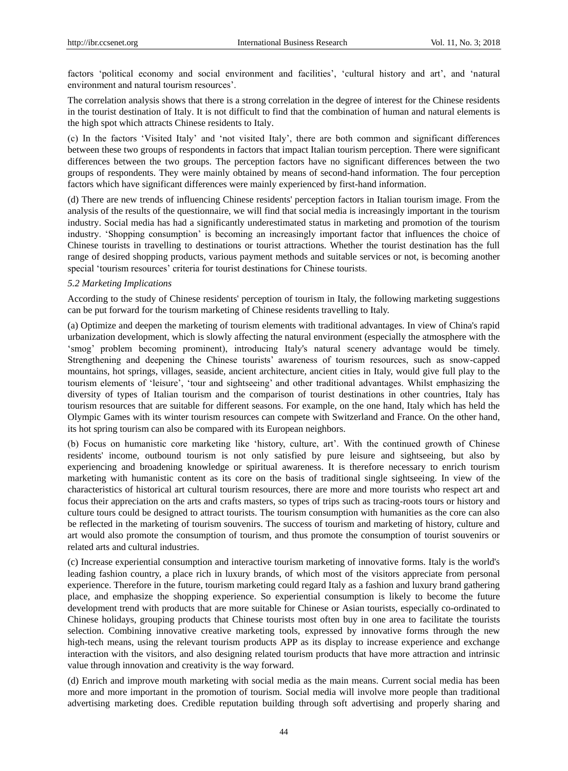factors 'political economy and social environment and facilities', 'cultural history and art', and 'natural environment and natural tourism resources'.

The correlation analysis shows that there is a strong correlation in the degree of interest for the Chinese residents in the tourist destination of Italy. It is not difficult to find that the combination of human and natural elements is the high spot which attracts Chinese residents to Italy.

(c) In the factors 'Visited Italy' and 'not visited Italy', there are both common and significant differences between these two groups of respondents in factors that impact Italian tourism perception. There were significant differences between the two groups. The perception factors have no significant differences between the two groups of respondents. They were mainly obtained by means of second-hand information. The four perception factors which have significant differences were mainly experienced by first-hand information.

(d) There are new trends of influencing Chinese residents' perception factors in Italian tourism image. From the analysis of the results of the questionnaire, we will find that social media is increasingly important in the tourism industry. Social media has had a significantly underestimated status in marketing and promotion of the tourism industry. 'Shopping consumption' is becoming an increasingly important factor that influences the choice of Chinese tourists in travelling to destinations or tourist attractions. Whether the tourist destination has the full range of desired shopping products, various payment methods and suitable services or not, is becoming another special 'tourism resources' criteria for tourist destinations for Chinese tourists.

#### *5.2 Marketing Implications*

According to the study of Chinese residents' perception of tourism in Italy, the following marketing suggestions can be put forward for the tourism marketing of Chinese residents travelling to Italy.

(a) Optimize and deepen the marketing of tourism elements with traditional advantages. In view of China's rapid urbanization development, which is slowly affecting the natural environment (especially the atmosphere with the 'smog' problem becoming prominent), introducing Italy's natural scenery advantage would be timely. Strengthening and deepening the Chinese tourists' awareness of tourism resources, such as snow-capped mountains, hot springs, villages, seaside, ancient architecture, ancient cities in Italy, would give full play to the tourism elements of 'leisure', 'tour and sightseeing' and other traditional advantages. Whilst emphasizing the diversity of types of Italian tourism and the comparison of tourist destinations in other countries, Italy has tourism resources that are suitable for different seasons. For example, on the one hand, Italy which has held the Olympic Games with its winter tourism resources can compete with Switzerland and France. On the other hand, its hot spring tourism can also be compared with its European neighbors.

(b) Focus on humanistic core marketing like 'history, culture, art'. With the continued growth of Chinese residents' income, outbound tourism is not only satisfied by pure leisure and sightseeing, but also by experiencing and broadening knowledge or spiritual awareness. It is therefore necessary to enrich tourism marketing with humanistic content as its core on the basis of traditional single sightseeing. In view of the characteristics of historical art cultural tourism resources, there are more and more tourists who respect art and focus their appreciation on the arts and crafts masters, so types of trips such as tracing-roots tours or history and culture tours could be designed to attract tourists. The tourism consumption with humanities as the core can also be reflected in the marketing of tourism souvenirs. The success of tourism and marketing of history, culture and art would also promote the consumption of tourism, and thus promote the consumption of tourist souvenirs or related arts and cultural industries.

(c) Increase experiential consumption and interactive tourism marketing of innovative forms. Italy is the world's leading fashion country, a place rich in luxury brands, of which most of the visitors appreciate from personal experience. Therefore in the future, tourism marketing could regard Italy as a fashion and luxury brand gathering place, and emphasize the shopping experience. So experiential consumption is likely to become the future development trend with products that are more suitable for Chinese or Asian tourists, especially co-ordinated to Chinese holidays, grouping products that Chinese tourists most often buy in one area to facilitate the tourists selection. Combining innovative creative marketing tools, expressed by innovative forms through the new high-tech means, using the relevant tourism products APP as its display to increase experience and exchange interaction with the visitors, and also designing related tourism products that have more attraction and intrinsic value through innovation and creativity is the way forward.

(d) Enrich and improve mouth marketing with social media as the main means. Current social media has been more and more important in the promotion of tourism. Social media will involve more people than traditional advertising marketing does. Credible reputation building through soft advertising and properly sharing and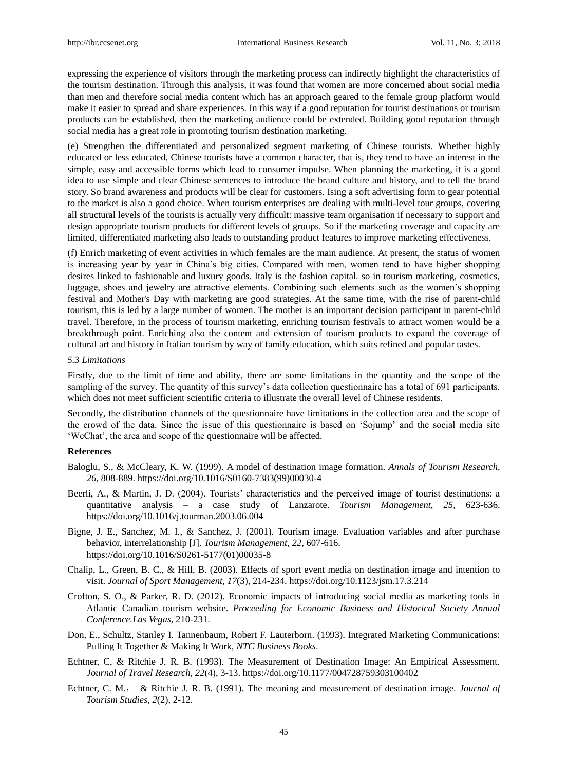expressing the experience of visitors through the marketing process can indirectly highlight the characteristics of the tourism destination. Through this analysis, it was found that women are more concerned about social media than men and therefore social media content which has an approach geared to the female group platform would make it easier to spread and share experiences. In this way if a good reputation for tourist destinations or tourism products can be established, then the marketing audience could be extended. Building good reputation through social media has a great role in promoting tourism destination marketing.

(e) Strengthen the differentiated and personalized segment marketing of Chinese tourists. Whether highly educated or less educated, Chinese tourists have a common character, that is, they tend to have an interest in the simple, easy and accessible forms which lead to consumer impulse. When planning the marketing, it is a good idea to use simple and clear Chinese sentences to introduce the brand culture and history, and to tell the brand story. So brand awareness and products will be clear for customers. Ising a soft advertising form to gear potential to the market is also a good choice. When tourism enterprises are dealing with multi-level tour groups, covering all structural levels of the tourists is actually very difficult: massive team organisation if necessary to support and design appropriate tourism products for different levels of groups. So if the marketing coverage and capacity are limited, differentiated marketing also leads to outstanding product features to improve marketing effectiveness.

(f) Enrich marketing of event activities in which females are the main audience. At present, the status of women is increasing year by year in China's big cities. Compared with men, women tend to have higher shopping desires linked to fashionable and luxury goods. Italy is the fashion capital. so in tourism marketing, cosmetics, luggage, shoes and jewelry are attractive elements. Combining such elements such as the women's shopping festival and Mother's Day with marketing are good strategies. At the same time, with the rise of parent-child tourism, this is led by a large number of women. The mother is an important decision participant in parent-child travel. Therefore, in the process of tourism marketing, enriching tourism festivals to attract women would be a breakthrough point. Enriching also the content and extension of tourism products to expand the coverage of cultural art and history in Italian tourism by way of family education, which suits refined and popular tastes.

#### *5.3 Limitations*

Firstly, due to the limit of time and ability, there are some limitations in the quantity and the scope of the sampling of the survey. The quantity of this survey's data collection questionnaire has a total of 691 participants, which does not meet sufficient scientific criteria to illustrate the overall level of Chinese residents.

Secondly, the distribution channels of the questionnaire have limitations in the collection area and the scope of the crowd of the data. Since the issue of this questionnaire is based on 'Sojump' and the social media site 'WeChat', the area and scope of the questionnaire will be affected.

#### **References**

- Baloglu, S., & McCleary, K. W. (1999). A model of destination image formation. *Annals of Tourism Research, 26,* 808-889. https://doi.org/10.1016/S0160-7383(99)00030-4
- Beerli, A., & Martin, J. D. (2004). Tourists' characteristics and the perceived image of tourist destinations: a quantitative analysis – a case study of Lanzarote. *Tourism Management*, *25,* 623-636. https://doi.org/10.1016/j.tourman.2003.06.004
- Bigne, J. E., Sanchez, M. I., & Sanchez, J. (2001). Tourism image. Evaluation variables and after purchase behavior, interrelationship [J]. *Tourism Management*, *22,* 607-616. https://doi.org/10.1016/S0261-5177(01)00035-8
- Chalip, L., Green, B. C., & Hill, B. (2003). Effects of sport event media on destination image and intention to visit. *Journal of Sport Management*, *17*(3), 214-234. https://doi.org/10.1123/jsm.17.3.214
- Crofton, S. O., & Parker, R. D. (2012). Economic impacts of introducing social media as marketing tools in Atlantic Canadian tourism website. *Proceeding for Economic Business and Historical Society Annual Conference.Las Vegas*, 210-231.
- Don, E., Schultz, Stanley I. Tannenbaum, Robert F. Lauterborn. (1993). Integrated Marketing Communications: Pulling It Together & Making It Work, *NTC Business Books*.
- Echtner, C, & Ritchie J. R. B. (1993). The Measurement of Destination Image: An Empirical Assessment. *Journal of Travel Research*, *22*(4), 3-13. https://doi.org/10.1177/004728759303100402
- Echtner, C. M., & Ritchie J. R. B. (1991). The meaning and measurement of destination image. *Journal of Tourism Studies*, *2*(2), 2-12.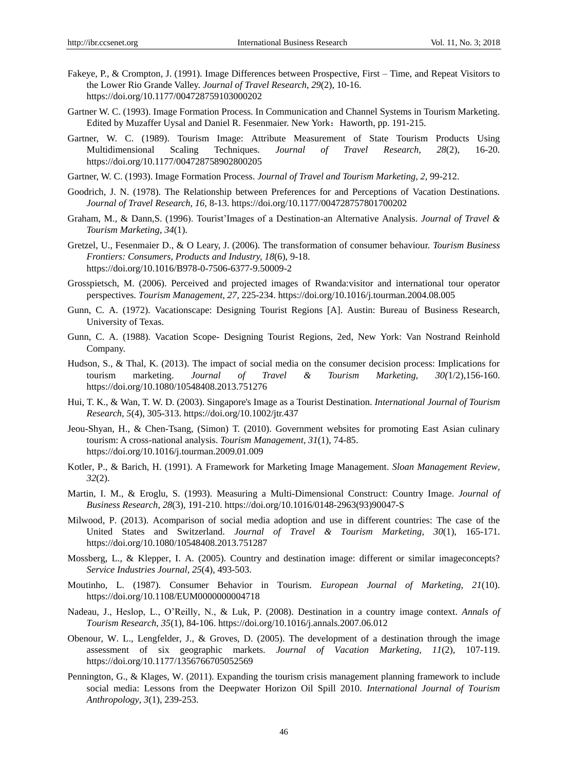- Fakeye, P., & Crompton, J. (1991). Image Differences between Prospective, First Time, and Repeat Visitors to the Lower Rio Grande Valley. *Journal of Travel Research*, *29*(2), 10-16. https://doi.org/10.1177/004728759103000202
- Gartner W. C. (1993). Image Formation Process. In Communication and Channel Systems in Tourism Marketing. Edited by Muzaffer Uysal and Daniel R. Fesenmaier. New York: Haworth, pp. 191-215.
- Gartner, W. C. (1989). Tourism Image: Attribute Measurement of State Tourism Products Using Multidimensional Scaling Techniques. *Journal of Travel Research*, *28*(2), 16-20. https://doi.org/10.1177/004728758902800205
- Gartner, W. C. (1993). Image Formation Process. *Journal of Travel and Tourism Marketing*, *2,* 99-212.
- Goodrich, J. N. (1978). The Relationship between Preferences for and Perceptions of Vacation Destinations. *Journal of Travel Research, 16,* 8-13. https://doi.org/10.1177/004728757801700202
- Graham, M., & Dann,S. (1996). Tourist'Images of a Destination-an Alternative Analysis. *Journal of Travel & Tourism Marketing*, *34*(1).
- Gretzel, U., Fesenmaier D., & O Leary, J. (2006). The transformation of consumer behaviour. *Tourism Business Frontiers: Consumers, Products and Industry, 18*(6), 9-18. https://doi.org/10.1016/B978-0-7506-6377-9.50009-2
- Grosspietsch, M. (2006). Perceived and projected images of Rwanda:visitor and international tour operator perspectives. *Tourism Management*, *27,* 225-234. https://doi.org/10.1016/j.tourman.2004.08.005
- Gunn, C. A. (1972). Vacationscape: Designing Tourist Regions [A]. Austin: Bureau of Business Research, University of Texas.
- Gunn, C. A. (1988). Vacation Scope- Designing Tourist Regions, 2ed, New York: Van Nostrand Reinhold Company.
- Hudson, S., & Thal, K. (2013). The impact of social media on the consumer decision process: Implications for tourism marketing. *Journal of Travel & Tourism Marketing, 30(*1/2),156-160. https://doi.org/10.1080/10548408.2013.751276
- Hui, T. K., & Wan, T. W. D. (2003). Singapore's Image as a Tourist Destination. *International Journal of Tourism Research, 5*(4), 305-313. https://doi.org/10.1002/jtr.437
- Jeou-Shyan, H., & Chen-Tsang, (Simon) T. (2010). Government websites for promoting East Asian culinary tourism: A cross-national analysis. *Tourism Management*, *31*(1), 74-85. https://doi.org/10.1016/j.tourman.2009.01.009
- Kotler, P., & Barich, H. (1991). A Framework for Marketing Image Management. *Sloan Management Review, 32*(2).
- Martin, I. M., & Eroglu, S. (1993). Measuring a Multi-Dimensional Construct: Country Image. *Journal of Business Research*, *28*(3), 191-210. https://doi.org/10.1016/0148-2963(93)90047-S
- Milwood, P. (2013). Acomparison of social media adoption and use in different countries: The case of the United States and Switzerland. *Journal of Travel & Tourism Marketing*, *30*(1), 165-171. https://doi.org/10.1080/10548408.2013.751287
- Mossberg, L., & Klepper, I. A. (2005). Country and destination image: different or similar imageconcepts? *Service Industries Journal, 25*(4), 493-503.
- Moutinho, L. (1987). Consumer Behavior in Tourism. *European Journal of Marketing, 21*(10). https://doi.org/10.1108/EUM0000000004718
- Nadeau, J., Heslop, L., O'Reilly, N., & Luk, P. (2008). Destination in a country image context. *Annals of Tourism Research*, *35*(1), 84-106. https://doi.org/10.1016/j.annals.2007.06.012
- Obenour, W. L., Lengfelder, J., & Groves, D. (2005). The development of a destination through the image assessment of six geographic markets. *Journal of Vacation Marketing*, *11*(2), 107-119. https://doi.org/10.1177/1356766705052569
- Pennington, G., & Klages, W. (2011). Expanding the tourism crisis management planning framework to include social media: Lessons from the Deepwater Horizon Oil Spill 2010. *International Journal of Tourism Anthropology*, *3*(1), 239-253.